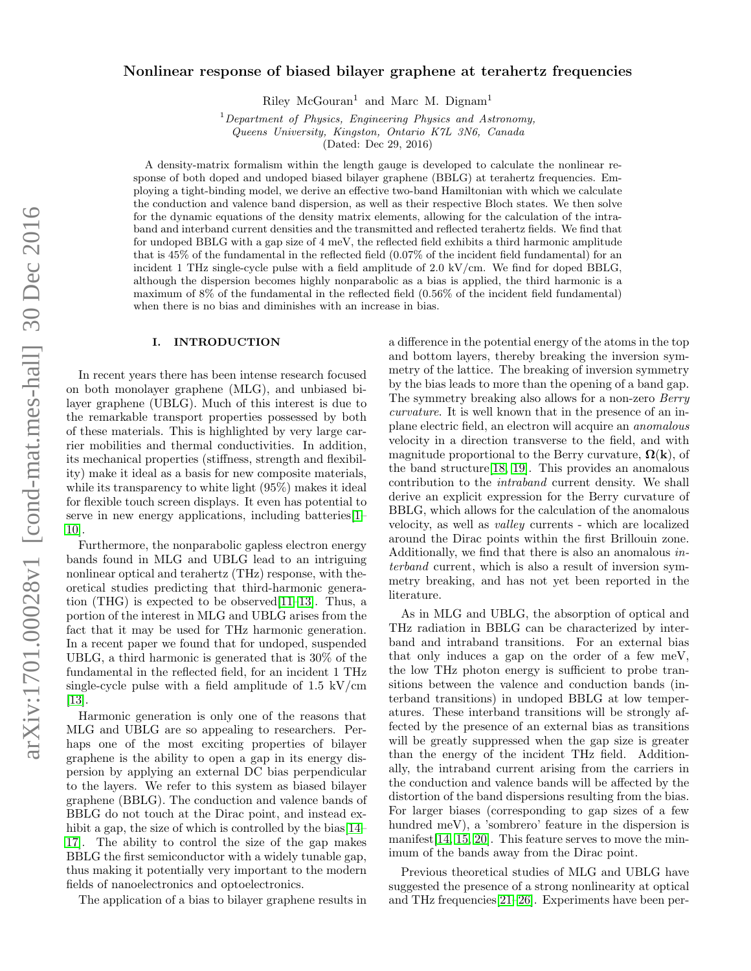# Nonlinear response of biased bilayer graphene at terahertz frequencies

Riley  $McGouran<sup>1</sup>$  and Marc M. Dignam<sup>1</sup>

 $1$  Department of Physics, Engineering Physics and Astronomy, Queens University, Kingston, Ontario K7L 3N6, Canada

(Dated: Dec 29, 2016)

A density-matrix formalism within the length gauge is developed to calculate the nonlinear response of both doped and undoped biased bilayer graphene (BBLG) at terahertz frequencies. Employing a tight-binding model, we derive an effective two-band Hamiltonian with which we calculate the conduction and valence band dispersion, as well as their respective Bloch states. We then solve for the dynamic equations of the density matrix elements, allowing for the calculation of the intraband and interband current densities and the transmitted and reflected terahertz fields. We find that for undoped BBLG with a gap size of 4 meV, the reflected field exhibits a third harmonic amplitude that is 45% of the fundamental in the reflected field (0.07% of the incident field fundamental) for an incident 1 THz single-cycle pulse with a field amplitude of 2.0 kV/cm. We find for doped BBLG, although the dispersion becomes highly nonparabolic as a bias is applied, the third harmonic is a maximum of 8% of the fundamental in the reflected field (0.56% of the incident field fundamental) when there is no bias and diminishes with an increase in bias.

### I. INTRODUCTION

In recent years there has been intense research focused on both monolayer graphene (MLG), and unbiased bilayer graphene (UBLG). Much of this interest is due to the remarkable transport properties possessed by both of these materials. This is highlighted by very large carrier mobilities and thermal conductivities. In addition, its mechanical properties (stiffness, strength and flexibility) make it ideal as a basis for new composite materials, while its transparency to white light (95%) makes it ideal for flexible touch screen displays. It even has potential to serve in new energy applications, including batteries[\[1–](#page-12-0) [10\]](#page-12-1).

Furthermore, the nonparabolic gapless electron energy bands found in MLG and UBLG lead to an intriguing nonlinear optical and terahertz (THz) response, with theoretical studies predicting that third-harmonic generation (THG) is expected to be observed[\[11–](#page-12-2)[13\]](#page-12-3). Thus, a portion of the interest in MLG and UBLG arises from the fact that it may be used for THz harmonic generation. In a recent paper we found that for undoped, suspended UBLG, a third harmonic is generated that is 30% of the fundamental in the reflected field, for an incident 1 THz single-cycle pulse with a field amplitude of  $1.5 \text{ kV/cm}$ [\[13\]](#page-12-3).

Harmonic generation is only one of the reasons that MLG and UBLG are so appealing to researchers. Perhaps one of the most exciting properties of bilayer graphene is the ability to open a gap in its energy dispersion by applying an external DC bias perpendicular to the layers. We refer to this system as biased bilayer graphene (BBLG). The conduction and valence bands of BBLG do not touch at the Dirac point, and instead ex-hibit a gap, the size of which is controlled by the bias [\[14–](#page-12-4) [17\]](#page-12-5). The ability to control the size of the gap makes BBLG the first semiconductor with a widely tunable gap, thus making it potentially very important to the modern fields of nanoelectronics and optoelectronics.

The application of a bias to bilayer graphene results in

a difference in the potential energy of the atoms in the top and bottom layers, thereby breaking the inversion symmetry of the lattice. The breaking of inversion symmetry by the bias leads to more than the opening of a band gap. The symmetry breaking also allows for a non-zero Berry curvature. It is well known that in the presence of an inplane electric field, an electron will acquire an anomalous velocity in a direction transverse to the field, and with magnitude proportional to the Berry curvature,  $\Omega(\mathbf{k})$ , of the band structure[\[18,](#page-12-6) [19\]](#page-12-7). This provides an anomalous contribution to the intraband current density. We shall derive an explicit expression for the Berry curvature of BBLG, which allows for the calculation of the anomalous velocity, as well as valley currents - which are localized around the Dirac points within the first Brillouin zone. Additionally, we find that there is also an anomalous interband current, which is also a result of inversion symmetry breaking, and has not yet been reported in the literature.

As in MLG and UBLG, the absorption of optical and THz radiation in BBLG can be characterized by interband and intraband transitions. For an external bias that only induces a gap on the order of a few meV, the low THz photon energy is sufficient to probe transitions between the valence and conduction bands (interband transitions) in undoped BBLG at low temperatures. These interband transitions will be strongly affected by the presence of an external bias as transitions will be greatly suppressed when the gap size is greater than the energy of the incident THz field. Additionally, the intraband current arising from the carriers in the conduction and valence bands will be affected by the distortion of the band dispersions resulting from the bias. For larger biases (corresponding to gap sizes of a few hundred meV), a 'sombrero' feature in the dispersion is manifest[\[14,](#page-12-4) [15,](#page-12-8) [20\]](#page-12-9). This feature serves to move the minimum of the bands away from the Dirac point.

Previous theoretical studies of MLG and UBLG have suggested the presence of a strong nonlinearity at optical and THz frequencies[\[21–](#page-12-10)[26\]](#page-12-11). Experiments have been per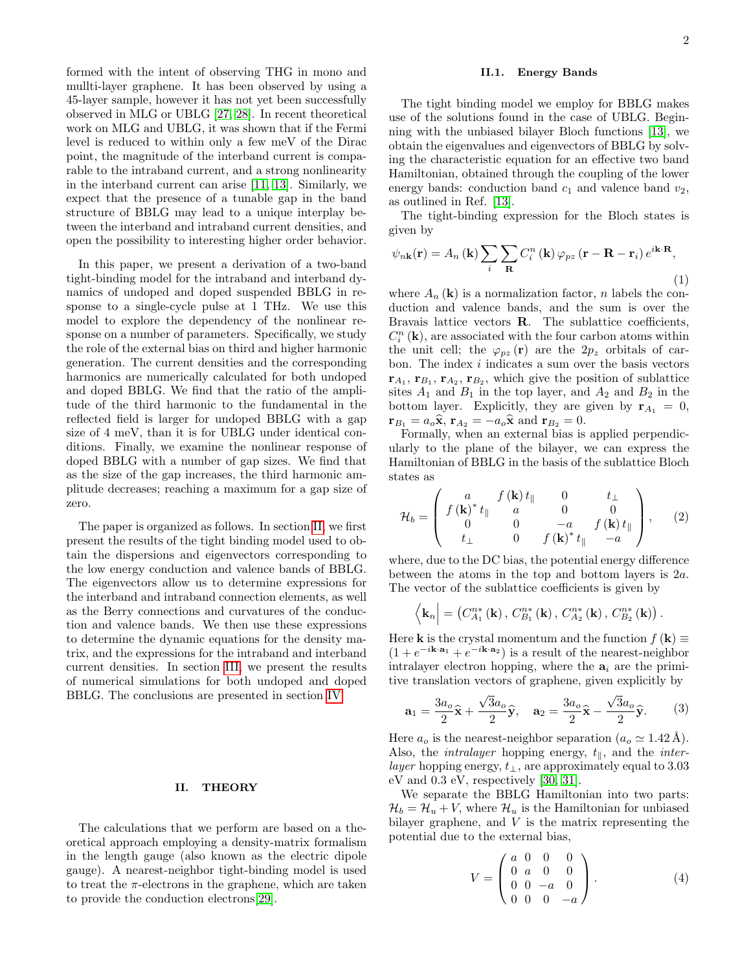formed with the intent of observing THG in mono and mullti-layer graphene. It has been observed by using a 45-layer sample, however it has not yet been successfully observed in MLG or UBLG [\[27,](#page-12-12) [28\]](#page-12-13). In recent theoretical work on MLG and UBLG, it was shown that if the Fermi level is reduced to within only a few meV of the Dirac point, the magnitude of the interband current is comparable to the intraband current, and a strong nonlinearity in the interband current can arise [\[11,](#page-12-2) [13\]](#page-12-3). Similarly, we expect that the presence of a tunable gap in the band structure of BBLG may lead to a unique interplay between the interband and intraband current densities, and open the possibility to interesting higher order behavior.

In this paper, we present a derivation of a two-band tight-binding model for the intraband and interband dynamics of undoped and doped suspended BBLG in response to a single-cycle pulse at 1 THz. We use this model to explore the dependency of the nonlinear response on a number of parameters. Specifically, we study the role of the external bias on third and higher harmonic generation. The current densities and the corresponding harmonics are numerically calculated for both undoped and doped BBLG. We find that the ratio of the amplitude of the third harmonic to the fundamental in the reflected field is larger for undoped BBLG with a gap size of 4 meV, than it is for UBLG under identical conditions. Finally, we examine the nonlinear response of doped BBLG with a number of gap sizes. We find that as the size of the gap increases, the third harmonic amplitude decreases; reaching a maximum for a gap size of zero.

The paper is organized as follows. In section [II,](#page-1-0) we first present the results of the tight binding model used to obtain the dispersions and eigenvectors corresponding to the low energy conduction and valence bands of BBLG. The eigenvectors allow us to determine expressions for the interband and intraband connection elements, as well as the Berry connections and curvatures of the conduction and valence bands. We then use these expressions to determine the dynamic equations for the density matrix, and the expressions for the intraband and interband current densities. In section [III,](#page-7-0) we present the results of numerical simulations for both undoped and doped BBLG. The conclusions are presented in section [IV.](#page-12-14)

## <span id="page-1-0"></span>II. THEORY

The calculations that we perform are based on a theoretical approach employing a density-matrix formalism in the length gauge (also known as the electric dipole gauge). A nearest-neighbor tight-binding model is used to treat the  $\pi$ -electrons in the graphene, which are taken to provide the conduction electrons[\[29\]](#page-13-0).

## II.1. Energy Bands

The tight binding model we employ for BBLG makes use of the solutions found in the case of UBLG. Beginning with the unbiased bilayer Bloch functions [\[13\]](#page-12-3), we obtain the eigenvalues and eigenvectors of BBLG by solving the characteristic equation for an effective two band Hamiltonian, obtained through the coupling of the lower energy bands: conduction band  $c_1$  and valence band  $v_2$ , as outlined in Ref. [\[13\]](#page-12-3).

The tight-binding expression for the Bloch states is given by

$$
\psi_{n\mathbf{k}}(\mathbf{r}) = A_n(\mathbf{k}) \sum_{i} \sum_{\mathbf{R}} C_i^n(\mathbf{k}) \varphi_{pz}(\mathbf{r} - \mathbf{R} - \mathbf{r}_i) e^{i\mathbf{k} \cdot \mathbf{R}},
$$
\n(1)

where  $A_n(\mathbf{k})$  is a normalization factor, n labels the conduction and valence bands, and the sum is over the Bravais lattice vectors R. The sublattice coefficients,  $C_i^n$  (k), are associated with the four carbon atoms within the unit cell; the  $\varphi_{pz}(\mathbf{r})$  are the  $2p_z$  orbitals of carbon. The index i indicates a sum over the basis vectors  $\mathbf{r}_{A_1}, \mathbf{r}_{B_1}, \mathbf{r}_{A_2}, \mathbf{r}_{B_2},$  which give the position of sublattice sites  $A_1$  and  $B_1$  in the top layer, and  $A_2$  and  $B_2$  in the bottom layer. Explicitly, they are given by  $\mathbf{r}_{A_1} = 0$ ,  $\mathbf{r}_{B_1} = a_o \hat{\mathbf{x}}, \, \mathbf{r}_{A_2} = -a_o \hat{\mathbf{x}} \text{ and } \mathbf{r}_{B_2} = 0.$ 

Formally, when an external bias is applied perpendicularly to the plane of the bilayer, we can express the Hamiltonian of BBLG in the basis of the sublattice Bloch states as

$$
\mathcal{H}_b = \begin{pmatrix} a & f(\mathbf{k}) t_{\parallel} & 0 & t_{\perp} \\ f(\mathbf{k})^* t_{\parallel} & a & 0 & 0 \\ 0 & 0 & -a & f(\mathbf{k}) t_{\parallel} \\ t_{\perp} & 0 & f(\mathbf{k})^* t_{\parallel} & -a \end{pmatrix}, \quad (2)
$$

where, due to the DC bias, the potential energy difference between the atoms in the top and bottom layers is 2a. The vector of the sublattice coefficients is given by

$$
\langle \mathbf{k}_n | = (C_{A_1}^{n*}(\mathbf{k}), C_{B_1}^{n*}(\mathbf{k}), C_{A_2}^{n*}(\mathbf{k}), C_{B_2}^{n*}(\mathbf{k}) ).
$$

Here **k** is the crystal momentum and the function  $f(\mathbf{k}) \equiv$  $(1 + e^{-i\mathbf{k}\cdot\mathbf{a}_1} + e^{-i\mathbf{k}\cdot\mathbf{a}_2})$  is a result of the nearest-neighbor intralayer electron hopping, where the  $a_i$  are the primitive translation vectors of graphene, given explicitly by

$$
\mathbf{a}_1 = \frac{3a_o}{2}\hat{\mathbf{x}} + \frac{\sqrt{3}a_o}{2}\hat{\mathbf{y}}, \quad \mathbf{a}_2 = \frac{3a_o}{2}\hat{\mathbf{x}} - \frac{\sqrt{3}a_o}{2}\hat{\mathbf{y}}.
$$
 (3)

Here  $a_o$  is the nearest-neighbor separation  $(a_o \simeq 1.42 \text{ Å})$ . Also, the *intralayer* hopping energy,  $t_{\parallel}$ , and the *inter*layer hopping energy,  $t_{\perp}$ , are approximately equal to 3.03 eV and 0.3 eV, respectively [\[30,](#page-13-1) [31\]](#page-13-2).

We separate the BBLG Hamiltonian into two parts:  $\mathcal{H}_b = \mathcal{H}_u + V$ , where  $\mathcal{H}_u$  is the Hamiltonian for unbiased bilayer graphene, and  $V$  is the matrix representing the potential due to the external bias,

$$
V = \begin{pmatrix} a & 0 & 0 & 0 \\ 0 & a & 0 & 0 \\ 0 & 0 & -a & 0 \\ 0 & 0 & 0 & -a \end{pmatrix}.
$$
 (4)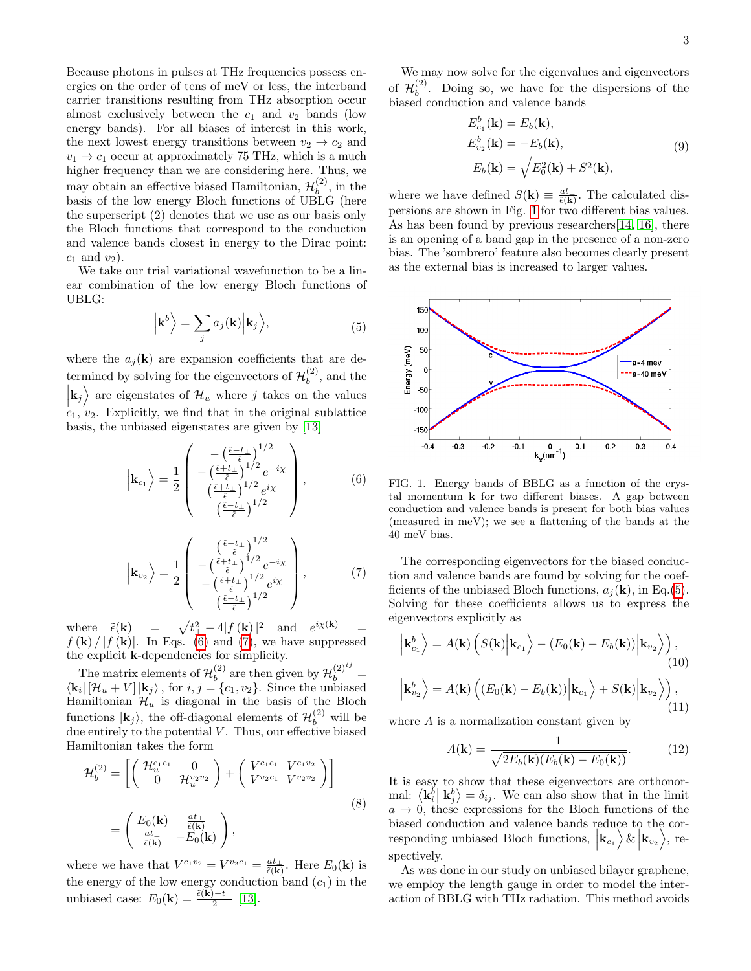Because photons in pulses at THz frequencies possess energies on the order of tens of meV or less, the interband carrier transitions resulting from THz absorption occur almost exclusively between the  $c_1$  and  $v_2$  bands (low energy bands). For all biases of interest in this work, the next lowest energy transitions between  $v_2 \rightarrow c_2$  and  $v_1 \rightarrow c_1$  occur at approximately 75 THz, which is a much higher frequency than we are considering here. Thus, we may obtain an effective biased Hamiltonian,  $\mathcal{H}_b^{(2)}$  $b^{(2)}$ , in the basis of the low energy Bloch functions of UBLG (here the superscript (2) denotes that we use as our basis only the Bloch functions that correspond to the conduction and valence bands closest in energy to the Dirac point:  $c_1$  and  $v_2$ ).

We take our trial variational wavefunction to be a linear combination of the low energy Bloch functions of UBLG:

<span id="page-2-3"></span>
$$
\left| \mathbf{k}^{b} \right\rangle = \sum_{j} a_{j}(\mathbf{k}) \left| \mathbf{k}_{j} \right\rangle, \tag{5}
$$

where the  $a_i(\mathbf{k})$  are expansion coefficients that are determined by solving for the eigenvectors of  $\mathcal{H}_b^{(2)}$  $b^{(2)}$ , and the  $\vert {\bf k}_j \rangle$  are eigenstates of  $\mathcal{H}_u$  where j takes on the values  $c_1$ ,  $v_2$ . Explicitly, we find that in the original sublattice basis, the unbiased eigenstates are given by [\[13\]](#page-12-3)

<span id="page-2-0"></span>
$$
\left|\mathbf{k}_{c_{1}}\right\rangle = \frac{1}{2} \begin{pmatrix} -\left(\frac{\tilde{\epsilon}-t_{\perp}}{\tilde{\epsilon}}\right)^{1/2} \\ -\left(\frac{\tilde{\epsilon}+t_{\perp}}{\tilde{\epsilon}}\right)^{1/2}e^{-i\chi} \\ \left(\frac{\tilde{\epsilon}+t_{\perp}}{\tilde{\epsilon}}\right)^{1/2}e^{i\chi} \\ \left(\frac{\tilde{\epsilon}-t_{\perp}}{\tilde{\epsilon}}\right)^{1/2} \end{pmatrix}, \qquad (6)
$$

<span id="page-2-1"></span>
$$
\left|\mathbf{k}_{v_2}\right\rangle = \frac{1}{2} \begin{pmatrix} \frac{\left(\frac{\tilde{\epsilon}-t_{\perp}}{\tilde{\epsilon}}\right)^{1/2}}{\frac{\tilde{\epsilon}+t_{\perp}}{\tilde{\epsilon}}^{1/2}e^{-i\chi}}\\ -\left(\frac{\tilde{\epsilon}+t_{\perp}}{\tilde{\epsilon}}\right)^{1/2}e^{i\chi}\\ -\left(\frac{\tilde{\epsilon}-t_{\perp}}{\tilde{\epsilon}}\right)^{1/2}\end{pmatrix},\tag{7}
$$

where  $\tilde{\epsilon}(\mathbf{k}) = \sqrt{t_{\perp}^2 + 4|f(\mathbf{k})|^2}$  and  $e^{i\chi(\mathbf{k})} =$  $f(\mathbf{k})/|f(\mathbf{k})|$ . In Eqs. [\(6\)](#page-2-0) and [\(7\)](#page-2-1), we have suppressed the explicit k-dependencies for simplicity.

The matrix elements of  $\mathcal{H}_h^{(2)}$  $b<sub>b</sub>$  are then given by  $\mathcal{H}_b^{(2)^{ij}} =$  $\langle \mathbf{k}_i | [\mathcal{H}_u + V] | \mathbf{k}_j \rangle$ , for  $i, j = \{c_1, v_2\}$ . Since the unbiased Hamiltonian  $\mathcal{H}_u$  is diagonal in the basis of the Bloch functions  $|\mathbf{k}_j\rangle$ , the off-diagonal elements of  $\mathcal{H}_b^{(2)}$  will be due entirely to the potential  $V$ . Thus, our effective biased Hamiltonian takes the form

<span id="page-2-4"></span>
$$
\mathcal{H}_b^{(2)} = \left[ \begin{pmatrix} \mathcal{H}_u^{c_1 c_1} & 0 \\ 0 & \mathcal{H}_u^{v_2 v_2} \end{pmatrix} + \begin{pmatrix} V^{c_1 c_1} & V^{c_1 v_2} \\ V^{v_2 c_1} & V^{v_2 v_2} \end{pmatrix} \right]
$$

$$
= \begin{pmatrix} E_0(\mathbf{k}) & \frac{a t_{\perp}}{\tilde{\epsilon}(\mathbf{k})} \\ \frac{a t_{\perp}}{\tilde{\epsilon}(\mathbf{k})} & -E_0(\mathbf{k}) \end{pmatrix},
$$
(8)

where we have that  $V^{c_1v_2} = V^{v_2c_1} = \frac{at_\perp}{\tilde{\epsilon}(\mathbf{k})}$ . Here  $E_0(\mathbf{k})$  is the energy of the low energy conduction band  $(c_1)$  in the unbiased case:  $E_0(\mathbf{k}) = \frac{\tilde{\epsilon}(\mathbf{k}) - t_{\perp}}{2}$  [\[13\]](#page-12-3).

We may now solve for the eigenvalues and eigenvectors of  $\mathcal{H}_h^{(2)}$  $b<sup>(2)</sup>$ . Doing so, we have for the dispersions of the biased conduction and valence bands

$$
E_{c_1}^b(\mathbf{k}) = E_b(\mathbf{k}),
$$
  
\n
$$
E_{b_2}^b(\mathbf{k}) = -E_b(\mathbf{k}),
$$
  
\n
$$
E_b(\mathbf{k}) = \sqrt{E_0^2(\mathbf{k}) + S^2(\mathbf{k})},
$$
\n(9)

where we have defined  $S(\mathbf{k}) \equiv \frac{at_{\perp}}{\tilde{\epsilon}(\mathbf{k})}$ . The calculated dispersions are shown in Fig. [1](#page-2-2) for two different bias values. As has been found by previous researchers[\[14,](#page-12-4) [16\]](#page-12-15), there is an opening of a band gap in the presence of a non-zero bias. The 'sombrero' feature also becomes clearly present as the external bias is increased to larger values.



<span id="page-2-2"></span>FIG. 1. Energy bands of BBLG as a function of the crystal momentum  $k$  for two different biases. A gap between conduction and valence bands is present for both bias values (measured in meV); we see a flattening of the bands at the 40 meV bias.

The corresponding eigenvectors for the biased conduction and valence bands are found by solving for the coefficients of the unbiased Bloch functions,  $a_i(\mathbf{k})$ , in Eq.[\(5\)](#page-2-3). Solving for these coefficients allows us to express the eigenvectors explicitly as

<span id="page-2-5"></span>
$$
\begin{aligned}\n\left|\mathbf{k}_{c_{1}}^{b}\right\rangle &= A(\mathbf{k}) \left(S(\mathbf{k})\left|\mathbf{k}_{c_{1}}\right\rangle - (E_{0}(\mathbf{k}) - E_{b}(\mathbf{k}))\left|\mathbf{k}_{v_{2}}\right\rangle\right), \\
\left|\mathbf{k}_{v_{2}}^{b}\right\rangle &= A(\mathbf{k}) \left((E_{0}(\mathbf{k}) - E_{b}(\mathbf{k}))\left|\mathbf{k}_{c_{1}}\right\rangle + S(\mathbf{k})\left|\mathbf{k}_{v_{2}}\right\rangle\right),\n\end{aligned} \tag{11}
$$

<span id="page-2-6"></span>where A is a normalization constant given by

$$
A(\mathbf{k}) = \frac{1}{\sqrt{2E_b(\mathbf{k})(E_b(\mathbf{k}) - E_0(\mathbf{k}))}}.\tag{12}
$$

It is easy to show that these eigenvectors are orthonormal:  $\langle \mathbf{k}_i^b | \mathbf{k}_j^b \rangle = \delta_{ij}$ . We can also show that in the limit  $a \rightarrow 0$ , these expressions for the Bloch functions of the biased conduction and valence bands reduce to the corresponding unbiased Bloch functions,  $|\mathbf{k}_{c_1}\rangle \& |\mathbf{k}_{v_2}\rangle$ , respectively.

As was done in our study on unbiased bilayer graphene, we employ the length gauge in order to model the interaction of BBLG with THz radiation. This method avoids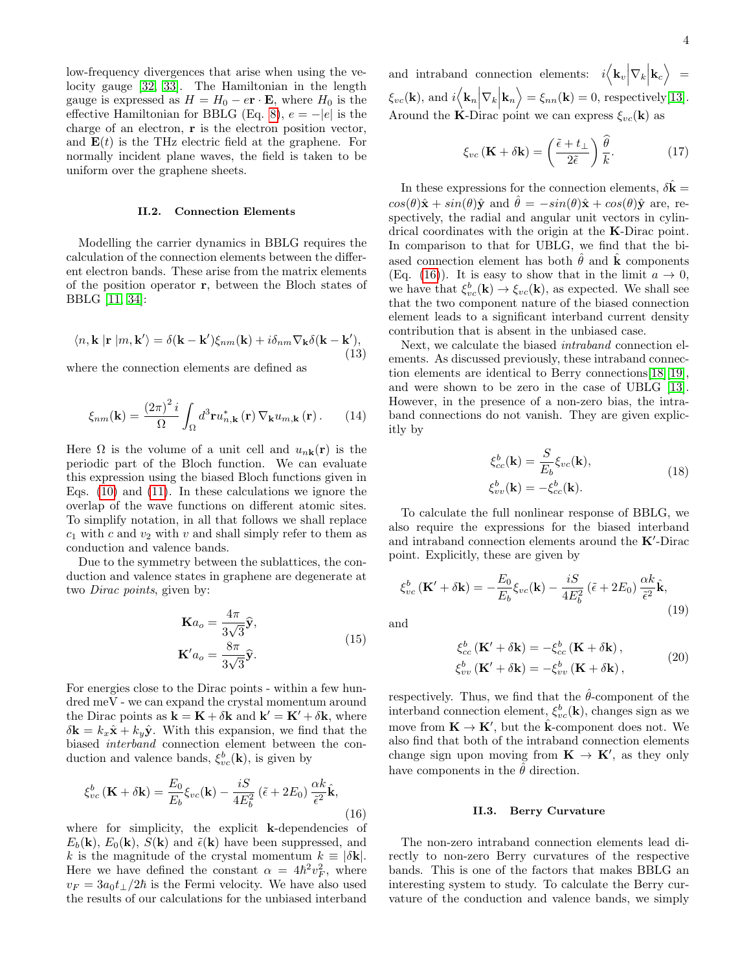low-frequency divergences that arise when using the velocity gauge [\[32,](#page-13-3) [33\]](#page-13-4). The Hamiltonian in the length gauge is expressed as  $H = H_0 - e\mathbf{r} \cdot \mathbf{E}$ , where  $H_0$  is the effective Hamiltonian for BBLG (Eq. [8\)](#page-2-4),  $e = -|e|$  is the charge of an electron, r is the electron position vector, and  $E(t)$  is the THz electric field at the graphene. For normally incident plane waves, the field is taken to be uniform over the graphene sheets.

#### II.2. Connection Elements

Modelling the carrier dynamics in BBLG requires the calculation of the connection elements between the different electron bands. These arise from the matrix elements of the position operator r, between the Bloch states of BBLG [\[11,](#page-12-2) [34\]](#page-13-5):

<span id="page-3-1"></span>
$$
\langle n, \mathbf{k} | \mathbf{r} | m, \mathbf{k'} \rangle = \delta(\mathbf{k} - \mathbf{k'}) \xi_{nm}(\mathbf{k}) + i \delta_{nm} \nabla_{\mathbf{k}} \delta(\mathbf{k} - \mathbf{k'}),
$$
\n(13)

where the connection elements are defined as

$$
\xi_{nm}(\mathbf{k}) = \frac{(2\pi)^2 i}{\Omega} \int_{\Omega} d^3 \mathbf{r} u_{n,\mathbf{k}}^* (\mathbf{r}) \nabla_{\mathbf{k}} u_{m,\mathbf{k}} (\mathbf{r}). \qquad (14)
$$

Here  $\Omega$  is the volume of a unit cell and  $u_{n\mathbf{k}}(\mathbf{r})$  is the periodic part of the Bloch function. We can evaluate this expression using the biased Bloch functions given in Eqs. [\(10\)](#page-2-5) and [\(11\)](#page-2-6). In these calculations we ignore the overlap of the wave functions on different atomic sites. To simplify notation, in all that follows we shall replace  $c_1$  with c and  $v_2$  with v and shall simply refer to them as conduction and valence bands.

Due to the symmetry between the sublattices, the conduction and valence states in graphene are degenerate at two Dirac points, given by:

$$
\mathbf{K}a_o = \frac{4\pi}{3\sqrt{3}}\hat{\mathbf{y}},
$$
  

$$
\mathbf{K}'a_o = \frac{8\pi}{3\sqrt{3}}\hat{\mathbf{y}}.
$$
 (15)

For energies close to the Dirac points - within a few hundred meV - we can expand the crystal momentum around the Dirac points as  $\mathbf{k} = \mathbf{K} + \delta \mathbf{k}$  and  $\mathbf{k}' = \mathbf{K}' + \delta \mathbf{k}$ , where  $\delta \mathbf{k} = k_x \hat{\mathbf{x}} + k_y \hat{\mathbf{y}}$ . With this expansion, we find that the biased interband connection element between the conduction and valence bands,  $\xi_{vc}^{b}(\mathbf{k})$ , is given by

<span id="page-3-0"></span>
$$
\xi_{vc}^{b}(\mathbf{K} + \delta \mathbf{k}) = \frac{E_0}{E_b} \xi_{vc}(\mathbf{k}) - \frac{iS}{4E_b^2} (\tilde{\epsilon} + 2E_0) \frac{\alpha k}{\tilde{\epsilon}^2} \hat{\mathbf{k}},
$$
\n(16)

where for simplicity, the explicit k-dependencies of  $E_b(\mathbf{k}), E_0(\mathbf{k}), S(\mathbf{k})$  and  $\tilde{\epsilon}(\mathbf{k})$  have been suppressed, and k is the magnitude of the crystal momentum  $k \equiv |\delta \mathbf{k}|$ . Here we have defined the constant  $\alpha = 4\hbar^2 v_F^2$ , where  $v_F = 3a_0t_{\perp}/2\hbar$  is the Fermi velocity. We have also used the results of our calculations for the unbiased interband

and intraband connection elements:  $i \langle \mathbf{k}_v | \nabla_k | \mathbf{k}_c \rangle =$  $\xi_{vc}(\mathbf{k})$ , and  $i\langle \mathbf{k}_n | \nabla_k | \mathbf{k}_n \rangle = \xi_{nn}(\mathbf{k}) = 0$ , respectively[\[13\]](#page-12-3). Around the K-Dirac point we can express  $\xi_{vc}(\mathbf{k})$  as

$$
\xi_{vc}(\mathbf{K} + \delta \mathbf{k}) = \left(\frac{\tilde{\epsilon} + t_{\perp}}{2\tilde{\epsilon}}\right) \frac{\hat{\theta}}{k}.
$$
 (17)

In these expressions for the connection elements,  $\delta \hat{\mathbf{k}} =$  $cos(\theta)\hat{\mathbf{x}} + sin(\theta)\hat{\mathbf{y}}$  and  $\hat{\theta} = -sin(\theta)\hat{\mathbf{x}} + cos(\theta)\hat{\mathbf{y}}$  are, respectively, the radial and angular unit vectors in cylindrical coordinates with the origin at the K-Dirac point. In comparison to that for UBLG, we find that the biased connection element has both  $\hat{\theta}$  and  $\hat{k}$  components (Eq. [\(16\)](#page-3-0)). It is easy to show that in the limit  $a \to 0$ , we have that  $\xi_{vc}^b(\mathbf{k}) \to \xi_{vc}(\mathbf{k})$ , as expected. We shall see that the two component nature of the biased connection element leads to a significant interband current density contribution that is absent in the unbiased case.

Next, we calculate the biased intraband connection elements. As discussed previously, these intraband connection elements are identical to Berry connections[\[18\]](#page-12-6)[\[19\]](#page-12-7), and were shown to be zero in the case of UBLG [\[13\]](#page-12-3). However, in the presence of a non-zero bias, the intraband connections do not vanish. They are given explicitly by

$$
\xi_{cc}^{b}(\mathbf{k}) = \frac{S}{E_b} \xi_{vc}(\mathbf{k}),
$$
  
\n
$$
\xi_{vv}^{b}(\mathbf{k}) = -\xi_{cc}^{b}(\mathbf{k}).
$$
\n(18)

To calculate the full nonlinear response of BBLG, we also require the expressions for the biased interband and intraband connection elements around the  $K'$ -Dirac point. Explicitly, these are given by

$$
\xi_{vc}^{b} \left( \mathbf{K}' + \delta \mathbf{k} \right) = -\frac{E_0}{E_b} \xi_{vc}(\mathbf{k}) - \frac{iS}{4E_b^2} \left( \tilde{\epsilon} + 2E_0 \right) \frac{\alpha k}{\tilde{\epsilon}^2} \hat{\mathbf{k}},\tag{19}
$$

and

$$
\xi_{cc}^{b} (\mathbf{K}' + \delta \mathbf{k}) = -\xi_{cc}^{b} (\mathbf{K} + \delta \mathbf{k}),
$$
  
\n
$$
\xi_{vv}^{b} (\mathbf{K}' + \delta \mathbf{k}) = -\xi_{vv}^{b} (\mathbf{K} + \delta \mathbf{k}),
$$
\n(20)

respectively. Thus, we find that the  $\hat{\theta}$ -component of the interband connection element,  $\xi_{vc}^b(\mathbf{k})$ , changes sign as we move from  $\mathbf{K} \to \mathbf{K}'$ , but the  $\hat{\mathbf{k}}$ -component does not. We also find that both of the intraband connection elements change sign upon moving from  $\mathbf{K} \to \mathbf{K}'$ , as they only have components in the  $\hat{\theta}$  direction.

#### II.3. Berry Curvature

The non-zero intraband connection elements lead directly to non-zero Berry curvatures of the respective bands. This is one of the factors that makes BBLG an interesting system to study. To calculate the Berry curvature of the conduction and valence bands, we simply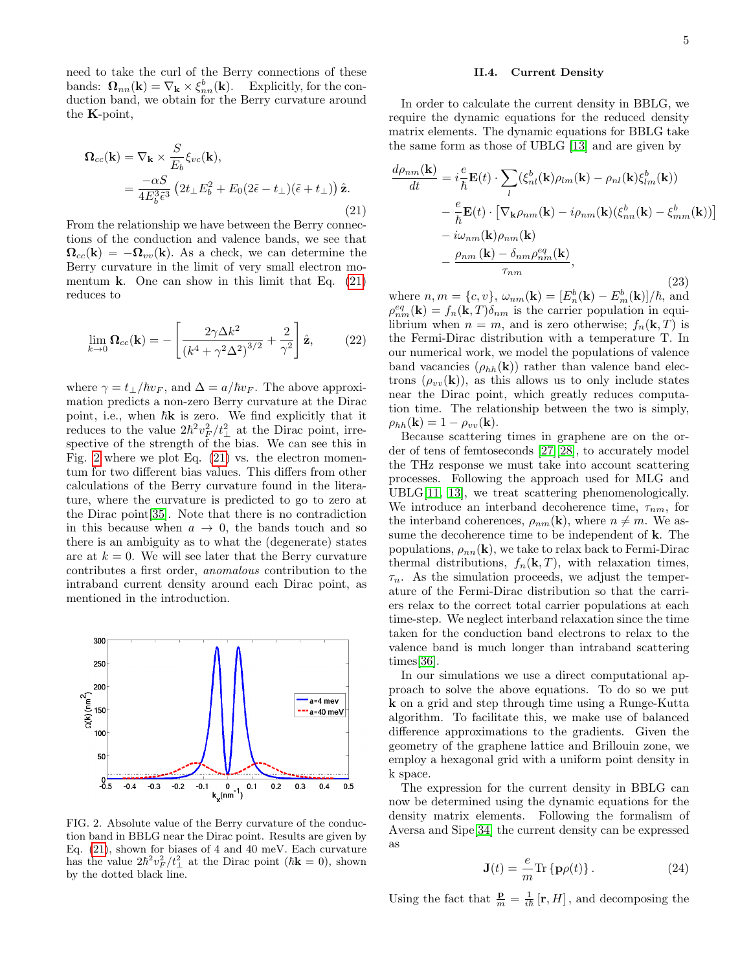5

need to take the curl of the Berry connections of these bands:  $\mathbf{\Omega}_{nn}(\mathbf{k}) = \nabla_{\mathbf{k}} \times \xi_{nn}^{b}(\mathbf{k})$ . Explicitly, for the conduction band, we obtain for the Berry curvature around the K-point,

<span id="page-4-0"></span>
$$
\begin{split} \mathbf{\Omega}_{cc}(\mathbf{k}) &= \nabla_{\mathbf{k}} \times \frac{S}{E_b} \xi_{vc}(\mathbf{k}), \\ &= \frac{-\alpha S}{4E_b^3 \tilde{\epsilon}^3} \left(2t_\perp E_b^2 + E_0(2\tilde{\epsilon} - t_\perp)(\tilde{\epsilon} + t_\perp)\right) \hat{\mathbf{z}}. \end{split} \tag{21}
$$

From the relationship we have between the Berry connections of the conduction and valence bands, we see that  $\Omega_{cc}(\mathbf{k}) = -\Omega_{vv}(\mathbf{k})$ . As a check, we can determine the Berry curvature in the limit of very small electron momentum **k**. One can show in this limit that Eq.  $(21)$ reduces to

$$
\lim_{k \to 0} \Omega_{cc}(\mathbf{k}) = -\left[\frac{2\gamma\Delta k^2}{\left(k^4 + \gamma^2\Delta^2\right)^{3/2}} + \frac{2}{\gamma^2}\right]\hat{\mathbf{z}},\tag{22}
$$

where  $\gamma = t_{\perp}/\hbar v_F$ , and  $\Delta = a/\hbar v_F$ . The above approximation predicts a non-zero Berry curvature at the Dirac point, i.e., when  $\hbar$ **k** is zero. We find explicitly that it reduces to the value  $2\hbar^2 v_F^2 / t_\perp^2$  at the Dirac point, irrespective of the strength of the bias. We can see this in Fig. [2](#page-4-1) where we plot Eq. [\(21\)](#page-4-0) vs. the electron momentum for two different bias values. This differs from other calculations of the Berry curvature found in the literature, where the curvature is predicted to go to zero at the Dirac point[\[35\]](#page-13-6). Note that there is no contradiction in this because when  $a \to 0$ , the bands touch and so there is an ambiguity as to what the (degenerate) states are at  $k = 0$ . We will see later that the Berry curvature contributes a first order, anomalous contribution to the intraband current density around each Dirac point, as mentioned in the introduction.



<span id="page-4-1"></span>FIG. 2. Absolute value of the Berry curvature of the conduction band in BBLG near the Dirac point. Results are given by Eq. [\(21\)](#page-4-0), shown for biases of 4 and 40 meV. Each curvature has the value  $2\hbar^2 v_F^2 / t_\perp^2$  at the Dirac point  $(\hbar \mathbf{k} = 0)$ , shown by the dotted black line.

#### II.4. Current Density

In order to calculate the current density in BBLG, we require the dynamic equations for the reduced density matrix elements. The dynamic equations for BBLG take the same form as those of UBLG [\[13\]](#page-12-3) and are given by

$$
\frac{d\rho_{nm}(\mathbf{k})}{dt} = i\frac{e}{\hbar} \mathbf{E}(t) \cdot \sum_{l} (\xi_{nl}^{b}(\mathbf{k})\rho_{lm}(\mathbf{k}) - \rho_{nl}(\mathbf{k})\xi_{lm}^{b}(\mathbf{k}))
$$

$$
- \frac{e}{\hbar} \mathbf{E}(t) \cdot \left[ \nabla_{\mathbf{k}} \rho_{nm}(\mathbf{k}) - i\rho_{nm}(\mathbf{k})(\xi_{nn}^{b}(\mathbf{k}) - \xi_{mm}^{b}(\mathbf{k})) \right]
$$

$$
- i\omega_{nm}(\mathbf{k})\rho_{nm}(\mathbf{k})
$$

$$
- \frac{\rho_{nm}(\mathbf{k}) - \delta_{nm}\rho_{nm}^{eq}(\mathbf{k})}{\tau_{nm}},
$$
(23)

where  $n, m = \{c, v\}, \ \omega_{nm}(\mathbf{k}) = [E_n^b(\mathbf{k}) - E_m^b(\mathbf{k})]/\hbar$ , and  $\rho_{nm}^{eq}(\mathbf{k}) = f_n(\mathbf{k}, T) \delta_{nm}$  is the carrier population in equilibrium when  $n = m$ , and is zero otherwise;  $f_n(\mathbf{k}, T)$  is the Fermi-Dirac distribution with a temperature T. In our numerical work, we model the populations of valence band vacancies  $(\rho_{hh}(\mathbf{k}))$  rather than valence band electrons  $(\rho_{vv}(\mathbf{k}))$ , as this allows us to only include states near the Dirac point, which greatly reduces computation time. The relationship between the two is simply,  $\rho_{hh}(\mathbf{k}) = 1 - \rho_{vv}(\mathbf{k}).$ 

Because scattering times in graphene are on the order of tens of femtoseconds [\[27\]](#page-12-12)[\[28\]](#page-12-13), to accurately model the THz response we must take into account scattering processes. Following the approach used for MLG and UBLG[\[11,](#page-12-2) [13\]](#page-12-3), we treat scattering phenomenologically. We introduce an interband decoherence time,  $\tau_{nm}$ , for the interband coherences,  $\rho_{nm}(\mathbf{k})$ , where  $n \neq m$ . We assume the decoherence time to be independent of k. The populations,  $\rho_{nn}(\mathbf{k})$ , we take to relax back to Fermi-Dirac thermal distributions,  $f_n(\mathbf{k}, T)$ , with relaxation times,  $\tau_n$ . As the simulation proceeds, we adjust the temperature of the Fermi-Dirac distribution so that the carriers relax to the correct total carrier populations at each time-step. We neglect interband relaxation since the time taken for the conduction band electrons to relax to the valence band is much longer than intraband scattering times[\[36\]](#page-13-7).

In our simulations we use a direct computational approach to solve the above equations. To do so we put k on a grid and step through time using a Runge-Kutta algorithm. To facilitate this, we make use of balanced difference approximations to the gradients. Given the geometry of the graphene lattice and Brillouin zone, we employ a hexagonal grid with a uniform point density in k space.

The expression for the current density in BBLG can now be determined using the dynamic equations for the density matrix elements. Following the formalism of Aversa and Sipe[\[34\]](#page-13-5) the current density can be expressed as

<span id="page-4-2"></span>
$$
\mathbf{J}(t) = -\frac{e}{m} \text{Tr} \left\{ \mathbf{p}\rho(t) \right\}.
$$
 (24)

Using the fact that  $\frac{\mathbf{p}}{m} = \frac{1}{i\hbar} [\mathbf{r}, H]$ , and decomposing the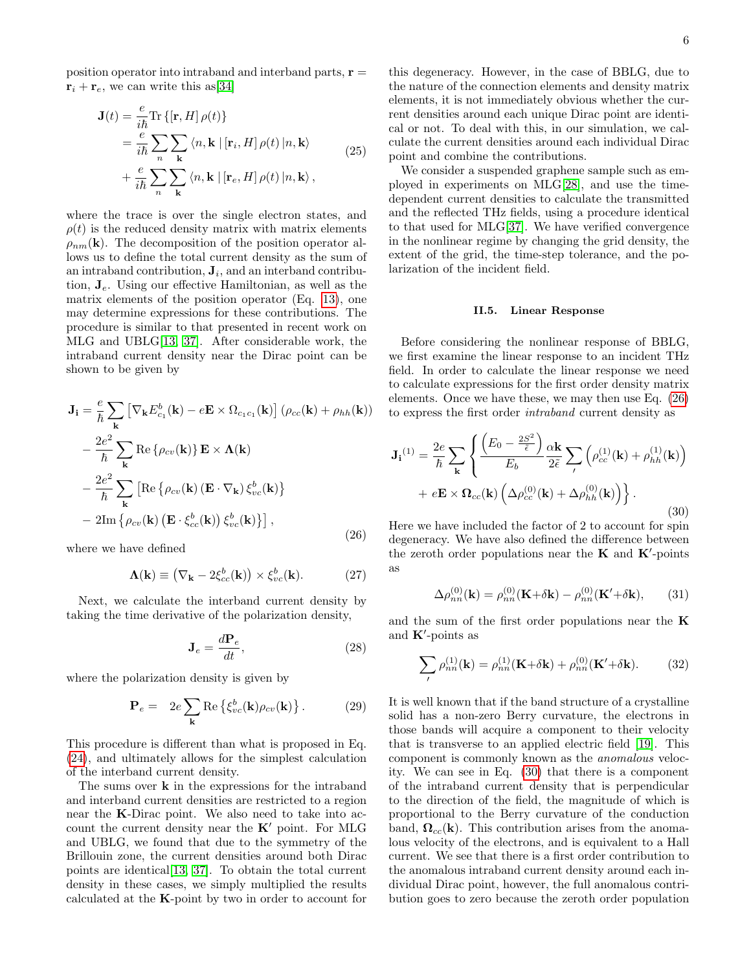position operator into intraband and interband parts,  $\mathbf{r} =$  $\mathbf{r}_i + \mathbf{r}_e$ , we can write this as [\[34\]](#page-13-5)

$$
\mathbf{J}(t) = \frac{e}{i\hbar} \text{Tr} \left\{ [\mathbf{r}, H] \, \rho(t) \right\} \n= \frac{e}{i\hbar} \sum_{n} \sum_{\mathbf{k}} \left\langle n, \mathbf{k} \, | \, [\mathbf{r}_i, H] \, \rho(t) \, | n, \mathbf{k} \right\rangle \n+ \frac{e}{i\hbar} \sum_{n} \sum_{\mathbf{k}} \left\langle n, \mathbf{k} \, | \, [\mathbf{r}_e, H] \, \rho(t) \, | n, \mathbf{k} \right\rangle,
$$
\n(25)

where the trace is over the single electron states, and  $\rho(t)$  is the reduced density matrix with matrix elements  $\rho_{nm}(\mathbf{k})$ . The decomposition of the position operator allows us to define the total current density as the sum of an intraband contribution,  $J_i$ , and an interband contribution,  $J_e$ . Using our effective Hamiltonian, as well as the matrix elements of the position operator (Eq. [13\)](#page-3-1), one may determine expressions for these contributions. The procedure is similar to that presented in recent work on MLG and UBLG[\[13,](#page-12-3) [37\]](#page-13-8). After considerable work, the intraband current density near the Dirac point can be shown to be given by

<span id="page-5-0"></span>
$$
\mathbf{J}_{\mathbf{i}} = \frac{e}{\hbar} \sum_{\mathbf{k}} \left[ \nabla_{\mathbf{k}} E_{c_{1}}^{b}(\mathbf{k}) - e\mathbf{E} \times \Omega_{c_{1}c_{1}}(\mathbf{k}) \right] (\rho_{cc}(\mathbf{k}) + \rho_{hh}(\mathbf{k}))
$$
  
\n
$$
- \frac{2e^{2}}{\hbar} \sum_{\mathbf{k}} \text{Re} \left\{ \rho_{cv}(\mathbf{k}) \right\} \mathbf{E} \times \mathbf{\Lambda}(\mathbf{k})
$$
  
\n
$$
- \frac{2e^{2}}{\hbar} \sum_{\mathbf{k}} \left[ \text{Re} \left\{ \rho_{cv}(\mathbf{k}) \left( \mathbf{E} \cdot \nabla_{\mathbf{k}} \right) \xi_{vc}^{b}(\mathbf{k}) \right\} \right]
$$
  
\n
$$
- 2 \text{Im} \left\{ \rho_{cv}(\mathbf{k}) \left( \mathbf{E} \cdot \xi_{cc}^{b}(\mathbf{k}) \right) \xi_{vc}^{b}(\mathbf{k}) \right\} \right],
$$
 (26)

where we have defined

$$
\mathbf{\Lambda}(\mathbf{k}) \equiv \left(\nabla_{\mathbf{k}} - 2\xi_{cc}^{b}(\mathbf{k})\right) \times \xi_{vc}^{b}(\mathbf{k}). \tag{27}
$$

Next, we calculate the interband current density by taking the time derivative of the polarization density,

$$
\mathbf{J}_e = \frac{d\mathbf{P}_e}{dt},\tag{28}
$$

where the polarization density is given by

<span id="page-5-4"></span>
$$
\mathbf{P}_e = 2e \sum_{\mathbf{k}} \text{Re}\left\{\xi_{vc}^b(\mathbf{k})\rho_{cv}(\mathbf{k})\right\}.
$$
 (29)

This procedure is different than what is proposed in Eq. [\(24\)](#page-4-2), and ultimately allows for the simplest calculation of the interband current density.

The sums over **k** in the expressions for the intraband and interband current densities are restricted to a region near the K-Dirac point. We also need to take into account the current density near the  $K'$  point. For MLG and UBLG, we found that due to the symmetry of the Brillouin zone, the current densities around both Dirac points are identical[\[13,](#page-12-3) [37\]](#page-13-8). To obtain the total current density in these cases, we simply multiplied the results calculated at the K-point by two in order to account for

this degeneracy. However, in the case of BBLG, due to the nature of the connection elements and density matrix elements, it is not immediately obvious whether the current densities around each unique Dirac point are identical or not. To deal with this, in our simulation, we calculate the current densities around each individual Dirac point and combine the contributions.

We consider a suspended graphene sample such as employed in experiments on MLG[\[28\]](#page-12-13), and use the timedependent current densities to calculate the transmitted and the reflected THz fields, using a procedure identical to that used for MLG[\[37\]](#page-13-8). We have verified convergence in the nonlinear regime by changing the grid density, the extent of the grid, the time-step tolerance, and the polarization of the incident field.

### II.5. Linear Response

Before considering the nonlinear response of BBLG, we first examine the linear response to an incident THz field. In order to calculate the linear response we need to calculate expressions for the first order density matrix elements. Once we have these, we may then use Eq. [\(26\)](#page-5-0) to express the first order intraband current density as

<span id="page-5-1"></span>
$$
\mathbf{J}_{\mathbf{i}}^{(1)} = \frac{2e}{\hbar} \sum_{\mathbf{k}} \left\{ \frac{\left(E_0 - \frac{2S^2}{\tilde{\epsilon}}\right)}{E_b} \frac{\alpha \mathbf{k}}{2\tilde{\epsilon}} \sum_{\prime} \left(\rho_{cc}^{(1)}(\mathbf{k}) + \rho_{hh}^{(1)}(\mathbf{k})\right) + e\mathbf{E} \times \mathbf{\Omega}_{cc}(\mathbf{k}) \left(\Delta \rho_{cc}^{(0)}(\mathbf{k}) + \Delta \rho_{hh}^{(0)}(\mathbf{k})\right) \right\}.
$$
\n(30)

Here we have included the factor of 2 to account for spin degeneracy. We have also defined the difference between the zeroth order populations near the  $\bf{K}$  and  $\bf{K}'$ -points as

<span id="page-5-2"></span>
$$
\Delta \rho_{nn}^{(0)}(\mathbf{k}) = \rho_{nn}^{(0)}(\mathbf{K} + \delta \mathbf{k}) - \rho_{nn}^{(0)}(\mathbf{K}' + \delta \mathbf{k}), \qquad (31)
$$

and the sum of the first order populations near the K and  $\mathbf{K}'$ -points as

<span id="page-5-3"></span>
$$
\sum_{l} \rho_{nn}^{(1)}(\mathbf{k}) = \rho_{nn}^{(1)}(\mathbf{K} + \delta \mathbf{k}) + \rho_{nn}^{(0)}(\mathbf{K}' + \delta \mathbf{k}).
$$
 (32)

It is well known that if the band structure of a crystalline solid has a non-zero Berry curvature, the electrons in those bands will acquire a component to their velocity that is transverse to an applied electric field [\[19\]](#page-12-7). This component is commonly known as the anomalous velocity. We can see in Eq. [\(30\)](#page-5-1) that there is a component of the intraband current density that is perpendicular to the direction of the field, the magnitude of which is proportional to the Berry curvature of the conduction band,  $\Omega_{cc}(\mathbf{k})$ . This contribution arises from the anomalous velocity of the electrons, and is equivalent to a Hall current. We see that there is a first order contribution to the anomalous intraband current density around each individual Dirac point, however, the full anomalous contribution goes to zero because the zeroth order population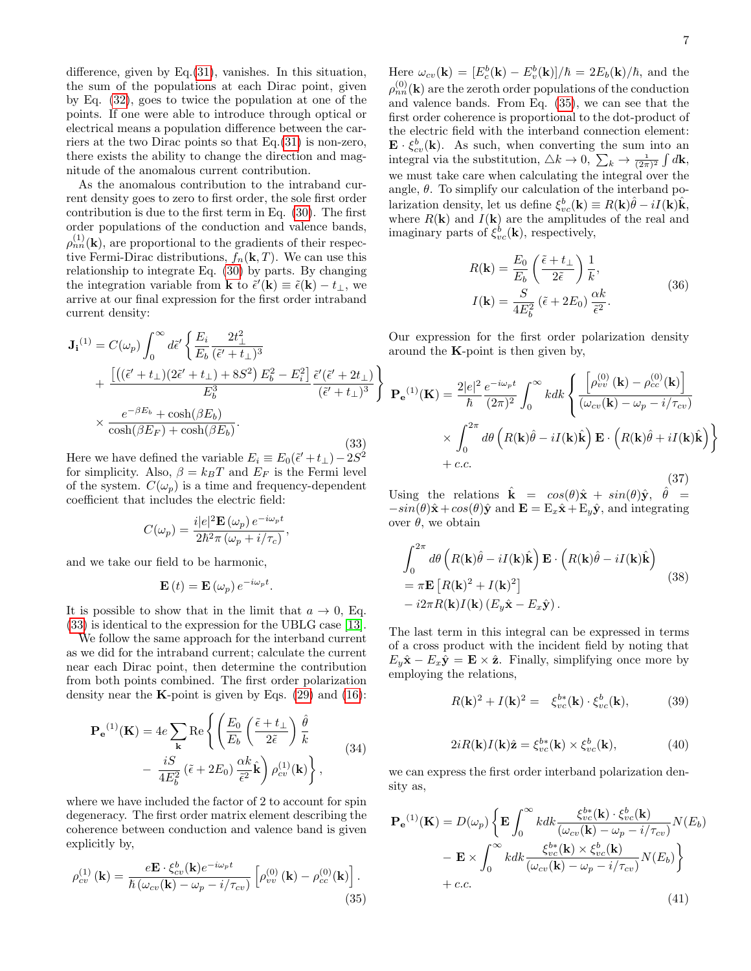difference, given by  $Eq.(31)$  $Eq.(31)$ , vanishes. In this situation, the sum of the populations at each Dirac point, given by Eq. [\(32\)](#page-5-3), goes to twice the population at one of the points. If one were able to introduce through optical or electrical means a population difference between the carriers at the two Dirac points so that Eq.[\(31\)](#page-5-2) is non-zero, there exists the ability to change the direction and magnitude of the anomalous current contribution.

As the anomalous contribution to the intraband current density goes to zero to first order, the sole first order contribution is due to the first term in Eq. [\(30\)](#page-5-1). The first order populations of the conduction and valence bands,  $\rho_{nn}^{(1)}(\mathbf{k})$ , are proportional to the gradients of their respective Fermi-Dirac distributions,  $f_n(\mathbf{k}, T)$ . We can use this relationship to integrate Eq. [\(30\)](#page-5-1) by parts. By changing the integration variable from **k** to  $\tilde{\epsilon}'(\mathbf{k}) \equiv \tilde{\epsilon}(\mathbf{k}) - t_{\perp}$ , we arrive at our final expression for the first order intraband current density:

<span id="page-6-0"></span>
$$
\mathbf{J_i}^{(1)} = C(\omega_p) \int_0^\infty d\tilde{\epsilon}' \left\{ \frac{E_i}{E_b} \frac{2t_\perp^2}{(\tilde{\epsilon}' + t_\perp)^3} + \frac{\left[ \left( (\tilde{\epsilon}' + t_\perp)(2\tilde{\epsilon}' + t_\perp) + 8S^2 \right) E_b^2 - E_i^2 \right] \tilde{\epsilon}'(\tilde{\epsilon}' + 2t_\perp)}{E_b^3} \frac{\tilde{\epsilon}'(\tilde{\epsilon}' + 2t_\perp)}{(\tilde{\epsilon}' + t_\perp)^3} \right\} \times \frac{e^{-\beta E_b} + \cosh(\beta E_b)}{\cosh(\beta E_F) + \cosh(\beta E_b)}.
$$

(33) Here we have defined the variable  $E_i \equiv E_0(\tilde{\epsilon}' + t_\perp) - 2S^2$ for simplicity. Also,  $\beta = k_BT$  and  $E_F$  is the Fermi level of the system.  $C(\omega_p)$  is a time and frequency-dependent coefficient that includes the electric field:

$$
C(\omega_p) = \frac{i|e|^2 \mathbf{E}(\omega_p) e^{-i\omega_p t}}{2\hbar^2 \pi (\omega_p + i/\tau_c)},
$$

and we take our field to be harmonic,

$$
\mathbf{E}\left(t\right) = \mathbf{E}\left(\omega_p\right)e^{-i\omega_p t}.
$$

It is possible to show that in the limit that  $a \to 0$ , Eq. [\(33\)](#page-6-0) is identical to the expression for the UBLG case [\[13\]](#page-12-3).

We follow the same approach for the interband current as we did for the intraband current; calculate the current near each Dirac point, then determine the contribution from both points combined. The first order polarization density near the **K**-point is given by Eqs.  $(29)$  and  $(16)$ :

$$
\mathbf{P}_{\mathbf{e}}^{(1)}(\mathbf{K}) = 4e \sum_{\mathbf{k}} \text{Re} \left\{ \left( \frac{E_0}{E_b} \left( \frac{\tilde{\epsilon} + t_{\perp}}{2\tilde{\epsilon}} \right) \frac{\hat{\theta}}{k} - \frac{iS}{4E_b^2} (\tilde{\epsilon} + 2E_0) \frac{\alpha k}{\tilde{\epsilon}^2} \hat{\mathbf{k}} \right) \rho_{cv}^{(1)}(\mathbf{k}) \right\},
$$
(34)

where we have included the factor of 2 to account for spin degeneracy. The first order matrix element describing the coherence between conduction and valence band is given explicitly by,

<span id="page-6-1"></span>
$$
\rho_{cv}^{(1)}(\mathbf{k}) = \frac{e\mathbf{E} \cdot \xi_{cv}^b(\mathbf{k})e^{-i\omega_p t}}{\hbar \left(\omega_{cv}(\mathbf{k}) - \omega_p - i/\tau_{cv}\right)} \left[\rho_{vv}^{(0)}(\mathbf{k}) - \rho_{cc}^{(0)}(\mathbf{k})\right].
$$
\n(35)

Here  $\omega_{cv}(\mathbf{k}) = [E_c^b(\mathbf{k}) - E_v^b(\mathbf{k})]/\hbar = 2E_b(\mathbf{k})/\hbar$ , and the  $\rho_{nn}^{(0)}(\mathbf{k})$  are the zeroth order populations of the conduction and valence bands. From Eq. [\(35\)](#page-6-1), we can see that the first order coherence is proportional to the dot-product of the electric field with the interband connection element:  $\mathbf{E} \cdot \xi_{cv}^{b}(\mathbf{k})$ . As such, when converting the sum into an integral via the substitution,  $\triangle k \to 0$ ,  $\sum_k \to \frac{1}{(2\pi)^2} \int d\mathbf{k}$ , we must take care when calculating the integral over the angle,  $\theta$ . To simplify our calculation of the interband polarization density, let us define  $\xi_{vc}^b(\mathbf{k}) \equiv R(\mathbf{k})\hat{\theta} - iI(\mathbf{k})\hat{\mathbf{k}},$ where  $R(\mathbf{k})$  and  $I(\mathbf{k})$  are the amplitudes of the real and imaginary parts of  $\xi_{vc}^b(\mathbf{k})$ , respectively,

$$
R(\mathbf{k}) = \frac{E_0}{E_b} \left(\frac{\tilde{\epsilon} + t_{\perp}}{2\tilde{\epsilon}}\right) \frac{1}{k},
$$
  
\n
$$
I(\mathbf{k}) = \frac{S}{4E_b^2} \left(\tilde{\epsilon} + 2E_0\right) \frac{\alpha k}{\tilde{\epsilon}^2}.
$$
\n(36)

Our expression for the first order polarization density around the  $K$ -point is then given by,

$$
\mathbf{P_e}^{(1)}(\mathbf{K}) = \frac{2|e|^2}{\hbar} \frac{e^{-i\omega_p t}}{(2\pi)^2} \int_0^\infty k dk \left\{ \frac{\left[\rho_{vv}^{(0)}(\mathbf{k}) - \rho_{cc}^{(0)}(\mathbf{k})\right]}{(\omega_{cv}(\mathbf{k}) - \omega_p - i/\tau_{cv})} \times \int_0^{2\pi} d\theta \left(R(\mathbf{k})\hat{\theta} - iI(\mathbf{k})\hat{\mathbf{k}}\right) \mathbf{E} \cdot \left(R(\mathbf{k})\hat{\theta} + iI(\mathbf{k})\hat{\mathbf{k}}\right) \right\} + c.c.
$$
\n(37)

Using the relations  $\hat{\mathbf{k}} = cos(\theta)\hat{\mathbf{x}} + sin(\theta)\hat{\mathbf{y}}, \ \hat{\theta} =$  $-sin(\theta)\hat{\mathbf{x}}+cos(\theta)\hat{\mathbf{y}}$  and  $\mathbf{E} = \mathbf{E}_x\hat{\mathbf{x}} + \mathbf{E}_y\hat{\mathbf{y}}$ , and integrating over  $θ$ , we obtain

$$
\int_0^{2\pi} d\theta \left( R(\mathbf{k}) \hat{\theta} - iI(\mathbf{k}) \hat{\mathbf{k}} \right) \mathbf{E} \cdot \left( R(\mathbf{k}) \hat{\theta} - iI(\mathbf{k}) \hat{\mathbf{k}} \right)
$$
  
=  $\pi \mathbf{E} \left[ R(\mathbf{k})^2 + I(\mathbf{k})^2 \right]$  (38)  
-  $i2\pi R(\mathbf{k}) I(\mathbf{k}) (E_y \hat{\mathbf{x}} - E_x \hat{\mathbf{y}}).$ 

The last term in this integral can be expressed in terms of a cross product with the incident field by noting that  $E_y\hat{\mathbf{x}} - E_x\hat{\mathbf{y}} = \mathbf{E} \times \hat{\mathbf{z}}$ . Finally, simplifying once more by employing the relations,

$$
R(\mathbf{k})^2 + I(\mathbf{k})^2 = \xi_{vc}^{b*}(\mathbf{k}) \cdot \xi_{vc}^b(\mathbf{k}), \tag{39}
$$

$$
2iR(\mathbf{k})I(\mathbf{k})\hat{\mathbf{z}} = \xi_{vc}^{b*}(\mathbf{k}) \times \xi_{vc}^{b}(\mathbf{k}),
$$
\n(40)

we can express the first order interband polarization density as,

<span id="page-6-2"></span>
$$
\mathbf{P}_{\mathbf{e}}^{(1)}(\mathbf{K}) = D(\omega_p) \left\{ \mathbf{E} \int_0^{\infty} k dk \frac{\xi_{vc}^{b*}(\mathbf{k}) \cdot \xi_{vc}^b(\mathbf{k})}{(\omega_{cv}(\mathbf{k}) - \omega_p - i/\tau_{cv})} N(E_b) \right. \\ - \mathbf{E} \times \int_0^{\infty} k dk \frac{\xi_{vc}^{b*}(\mathbf{k}) \times \xi_{vc}^b(\mathbf{k})}{(\omega_{cv}(\mathbf{k}) - \omega_p - i/\tau_{cv})} N(E_b) \right\} \\ + c.c.
$$
 (41)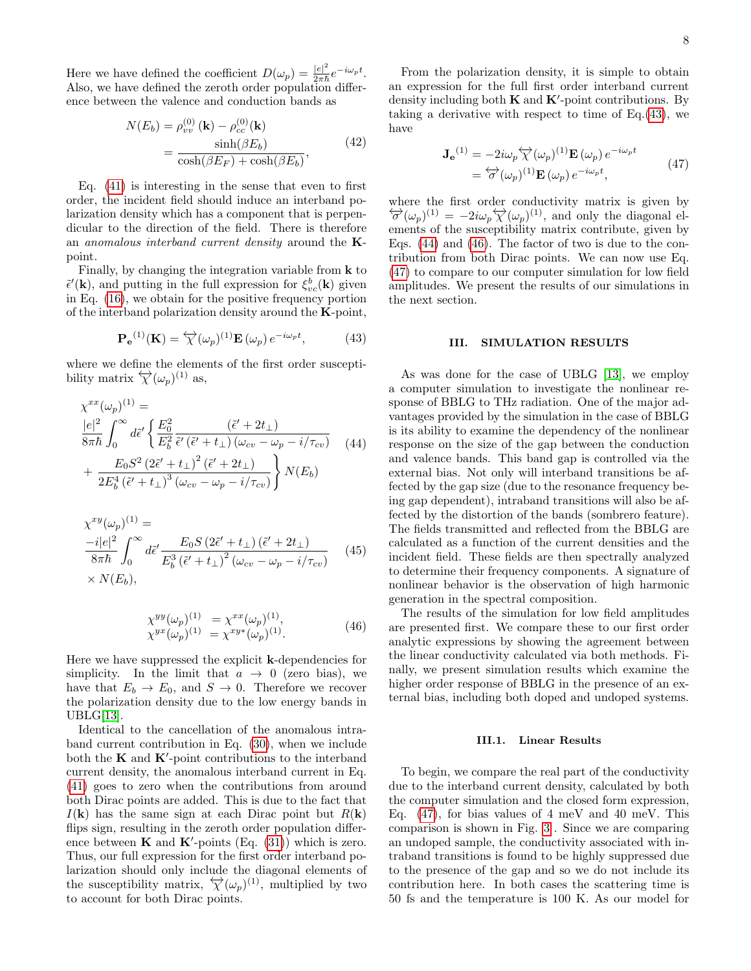Here we have defined the coefficient  $D(\omega_p) = \frac{|e|^2}{2\pi\hbar}$  $rac{|e|^2}{2\pi\hbar}e^{-i\omega_p t}$ . Also, we have defined the zeroth order population difference between the valence and conduction bands as

$$
N(E_b) = \rho_{vv}^{(0)}(\mathbf{k}) - \rho_{cc}^{(0)}(\mathbf{k})
$$

$$
= \frac{\sinh(\beta E_b)}{\cosh(\beta E_F) + \cosh(\beta E_b)},
$$
(42)

Eq. [\(41\)](#page-6-2) is interesting in the sense that even to first order, the incident field should induce an interband polarization density which has a component that is perpendicular to the direction of the field. There is therefore an anomalous interband current density around the  $K$ point.

Finally, by changing the integration variable from k to  $\tilde{\epsilon}'(\mathbf{k})$ , and putting in the full expression for  $\xi_{vc}^b(\mathbf{k})$  given in Eq. [\(16\)](#page-3-0), we obtain for the positive frequency portion of the interband polarization density around the  $\mathbf{K}\text{-point}$ ,

<span id="page-7-1"></span>
$$
\mathbf{P}_{\mathbf{e}}^{(1)}(\mathbf{K}) = \overleftrightarrow{\chi}(\omega_p)^{(1)} \mathbf{E}(\omega_p) e^{-i\omega_p t}, \quad (43)
$$

where we define the elements of the first order susceptibility matrix  $\overleftrightarrow{\chi}(\omega_p)^{(1)}$  as,

<span id="page-7-2"></span>
$$
\chi^{xx}(\omega_p)^{(1)} =
$$
\n
$$
\frac{|e|^2}{8\pi\hbar} \int_0^\infty d\tilde{\epsilon}' \left\{ \frac{E_0^2}{E_b^2} \frac{(\tilde{\epsilon}' + 2t_\perp)}{(\tilde{\epsilon}' + t_\perp)(\omega_{cv} - \omega_p - i/\tau_{cv})} \right\}
$$
\n
$$
+ \frac{E_0 S^2 (2\tilde{\epsilon}' + t_\perp)^2 (\tilde{\epsilon}' + 2t_\perp)}{2E_b^4 (\tilde{\epsilon}' + t_\perp)^3 (\omega_{cv} - \omega_p - i/\tau_{cv})} \right\} N(E_b)
$$
\n(44)

$$
\chi^{xy}(\omega_p)^{(1)} =
$$
\n
$$
\frac{-i|e|^2}{8\pi\hbar} \int_0^\infty d\tilde{\epsilon}' \frac{E_0 S (2\tilde{\epsilon}' + t_\perp) (\tilde{\epsilon}' + 2t_\perp)}{E_b^3 (\tilde{\epsilon}' + t_\perp)^2 (\omega_{cv} - \omega_p - i/\tau_{cv})}
$$
\n
$$
\times N(E_b), \tag{45}
$$

<span id="page-7-3"></span>
$$
\chi^{yy}(\omega_p)^{(1)} = \chi^{xx}(\omega_p)^{(1)}, \chi^{yx}(\omega_p)^{(1)} = \chi^{xy*}(\omega_p)^{(1)}.
$$
\n(46)

Here we have suppressed the explicit k-dependencies for simplicity. In the limit that  $a \rightarrow 0$  (zero bias), we have that  $E_b \to E_0$ , and  $S \to 0$ . Therefore we recover the polarization density due to the low energy bands in UBLG[\[13\]](#page-12-3).

Identical to the cancellation of the anomalous intraband current contribution in Eq. [\(30\)](#page-5-1), when we include both the  $K$  and  $K'$ -point contributions to the interband current density, the anomalous interband current in Eq. [\(41\)](#page-6-2) goes to zero when the contributions from around both Dirac points are added. This is due to the fact that  $I(\mathbf{k})$  has the same sign at each Dirac point but  $R(\mathbf{k})$ flips sign, resulting in the zeroth order population difference between  $\mathbf K$  and  $\mathbf K'$ -points (Eq. [\(31\)](#page-5-2)) which is zero. Thus, our full expression for the first order interband polarization should only include the diagonal elements of the susceptibility matrix,  $\overleftrightarrow{\chi}(\omega_p)^{(1)}$ , multiplied by two to account for both Dirac points.

From the polarization density, it is simple to obtain an expression for the full first order interband current density including both  $K$  and  $K'$ -point contributions. By taking a derivative with respect to time of  $Eq.(43)$  $Eq.(43)$ , we have

<span id="page-7-4"></span>
$$
\mathbf{J}_{\mathbf{e}}^{(1)} = -2i\omega_p \overleftrightarrow{\chi}(\omega_p)^{(1)} \mathbf{E}(\omega_p) e^{-i\omega_p t}
$$
  
=  $\overleftrightarrow{\sigma}(\omega_p)^{(1)} \mathbf{E}(\omega_p) e^{-i\omega_p t}$ , (47)

where the first order conductivity matrix is given by  $\sigma'(\omega_p)^{(1)} = -2i\omega_p \overleftrightarrow{\chi}(\omega_p)^{(1)}$ , and only the diagonal elements of the susceptibility matrix contribute, given by Eqs. [\(44\)](#page-7-2) and [\(46\)](#page-7-3). The factor of two is due to the contribution from both Dirac points. We can now use Eq. [\(47\)](#page-7-4) to compare to our computer simulation for low field amplitudes. We present the results of our simulations in the next section.

## <span id="page-7-0"></span>III. SIMULATION RESULTS

As was done for the case of UBLG [\[13\]](#page-12-3), we employ a computer simulation to investigate the nonlinear response of BBLG to THz radiation. One of the major advantages provided by the simulation in the case of BBLG is its ability to examine the dependency of the nonlinear response on the size of the gap between the conduction and valence bands. This band gap is controlled via the external bias. Not only will interband transitions be affected by the gap size (due to the resonance frequency being gap dependent), intraband transitions will also be affected by the distortion of the bands (sombrero feature). The fields transmitted and reflected from the BBLG are calculated as a function of the current densities and the incident field. These fields are then spectrally analyzed to determine their frequency components. A signature of nonlinear behavior is the observation of high harmonic generation in the spectral composition.

The results of the simulation for low field amplitudes are presented first. We compare these to our first order analytic expressions by showing the agreement between the linear conductivity calculated via both methods. Finally, we present simulation results which examine the higher order response of BBLG in the presence of an external bias, including both doped and undoped systems.

### III.1. Linear Results

To begin, we compare the real part of the conductivity due to the interband current density, calculated by both the computer simulation and the closed form expression, Eq.  $(47)$ , for bias values of 4 meV and 40 meV. This comparison is shown in Fig. [3](#page-8-0) . Since we are comparing an undoped sample, the conductivity associated with intraband transitions is found to be highly suppressed due to the presence of the gap and so we do not include its contribution here. In both cases the scattering time is 50 fs and the temperature is 100 K. As our model for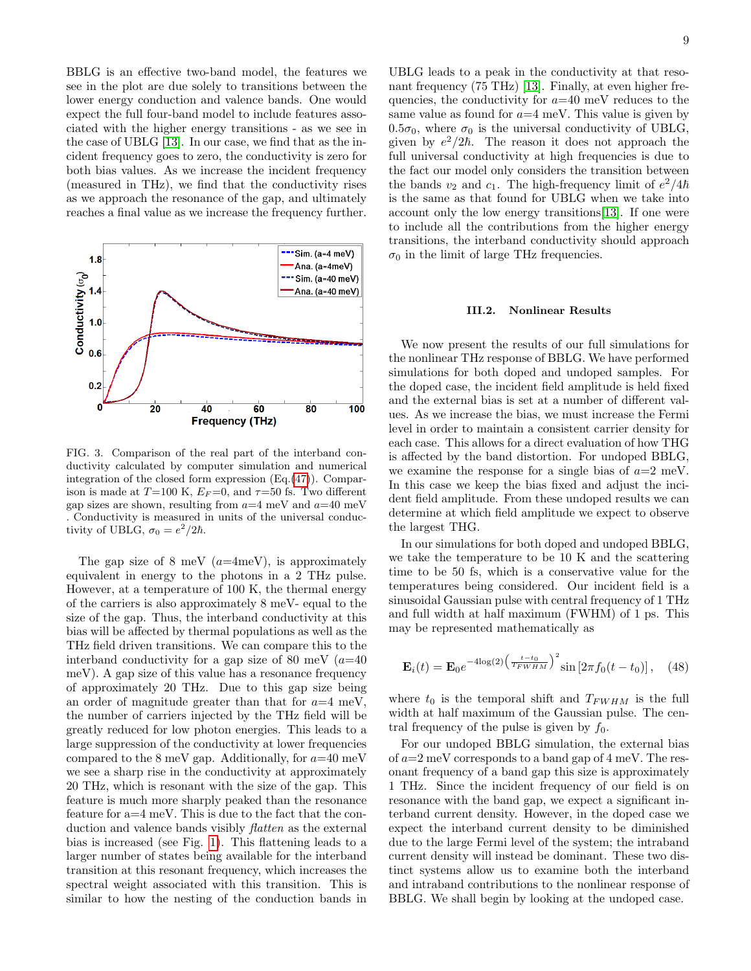BBLG is an effective two-band model, the features we see in the plot are due solely to transitions between the lower energy conduction and valence bands. One would expect the full four-band model to include features associated with the higher energy transitions - as we see in the case of UBLG [\[13\]](#page-12-3). In our case, we find that as the incident frequency goes to zero, the conductivity is zero for both bias values. As we increase the incident frequency (measured in THz), we find that the conductivity rises as we approach the resonance of the gap, and ultimately reaches a final value as we increase the frequency further.



<span id="page-8-0"></span>FIG. 3. Comparison of the real part of the interband conductivity calculated by computer simulation and numerical integration of the closed form expression (Eq.[\(47\)](#page-7-4)). Comparison is made at  $T=100$  K,  $E_F=0$ , and  $\tau=50$  fs. Two different gap sizes are shown, resulting from  $a=4$  meV and  $a=40$  meV . Conductivity is measured in units of the universal conductivity of UBLG,  $\sigma_0 = e^2/2\hbar$ .

The gap size of 8 meV  $(a=4 \text{meV})$ , is approximately equivalent in energy to the photons in a 2 THz pulse. However, at a temperature of 100 K, the thermal energy of the carriers is also approximately 8 meV- equal to the size of the gap. Thus, the interband conductivity at this bias will be affected by thermal populations as well as the THz field driven transitions. We can compare this to the interband conductivity for a gap size of 80 meV  $(a=40)$ meV). A gap size of this value has a resonance frequency of approximately 20 THz. Due to this gap size being an order of magnitude greater than that for  $a=4$  meV, the number of carriers injected by the THz field will be greatly reduced for low photon energies. This leads to a large suppression of the conductivity at lower frequencies compared to the 8 meV gap. Additionally, for  $a=40$  meV we see a sharp rise in the conductivity at approximately 20 THz, which is resonant with the size of the gap. This feature is much more sharply peaked than the resonance feature for a=4 meV. This is due to the fact that the conduction and valence bands visibly *flatten* as the external bias is increased (see Fig. [1\)](#page-2-2). This flattening leads to a larger number of states being available for the interband transition at this resonant frequency, which increases the spectral weight associated with this transition. This is similar to how the nesting of the conduction bands in

UBLG leads to a peak in the conductivity at that reso-nant frequency (75 THz) [\[13\]](#page-12-3). Finally, at even higher frequencies, the conductivity for  $a=40$  meV reduces to the same value as found for  $a=4$  meV. This value is given by  $0.5\sigma_0$ , where  $\sigma_0$  is the universal conductivity of UBLG, given by  $e^2/2\hbar$ . The reason it does not approach the full universal conductivity at high frequencies is due to the fact our model only considers the transition between the bands  $v_2$  and  $c_1$ . The high-frequency limit of  $e^2/4\hbar$ is the same as that found for UBLG when we take into account only the low energy transitions[\[13\]](#page-12-3). If one were to include all the contributions from the higher energy transitions, the interband conductivity should approach  $\sigma_0$  in the limit of large THz frequencies.

## III.2. Nonlinear Results

We now present the results of our full simulations for the nonlinear THz response of BBLG. We have performed simulations for both doped and undoped samples. For the doped case, the incident field amplitude is held fixed and the external bias is set at a number of different values. As we increase the bias, we must increase the Fermi level in order to maintain a consistent carrier density for each case. This allows for a direct evaluation of how THG is affected by the band distortion. For undoped BBLG, we examine the response for a single bias of  $a=2$  meV. In this case we keep the bias fixed and adjust the incident field amplitude. From these undoped results we can determine at which field amplitude we expect to observe the largest THG.

In our simulations for both doped and undoped BBLG, we take the temperature to be 10 K and the scattering time to be 50 fs, which is a conservative value for the temperatures being considered. Our incident field is a sinusoidal Gaussian pulse with central frequency of 1 THz and full width at half maximum (FWHM) of 1 ps. This may be represented mathematically as

<span id="page-8-1"></span>
$$
\mathbf{E}_{i}(t) = \mathbf{E}_{0} e^{-4\log(2) \left(\frac{t-t_{0}}{T_{FWHM}}\right)^{2}} \sin\left[2\pi f_{0}(t-t_{0})\right], \quad (48)
$$

where  $t_0$  is the temporal shift and  $T_{FWHM}$  is the full width at half maximum of the Gaussian pulse. The central frequency of the pulse is given by  $f_0$ .

For our undoped BBLG simulation, the external bias of  $a=2$  meV corresponds to a band gap of 4 meV. The resonant frequency of a band gap this size is approximately 1 THz. Since the incident frequency of our field is on resonance with the band gap, we expect a significant interband current density. However, in the doped case we expect the interband current density to be diminished due to the large Fermi level of the system; the intraband current density will instead be dominant. These two distinct systems allow us to examine both the interband and intraband contributions to the nonlinear response of BBLG. We shall begin by looking at the undoped case.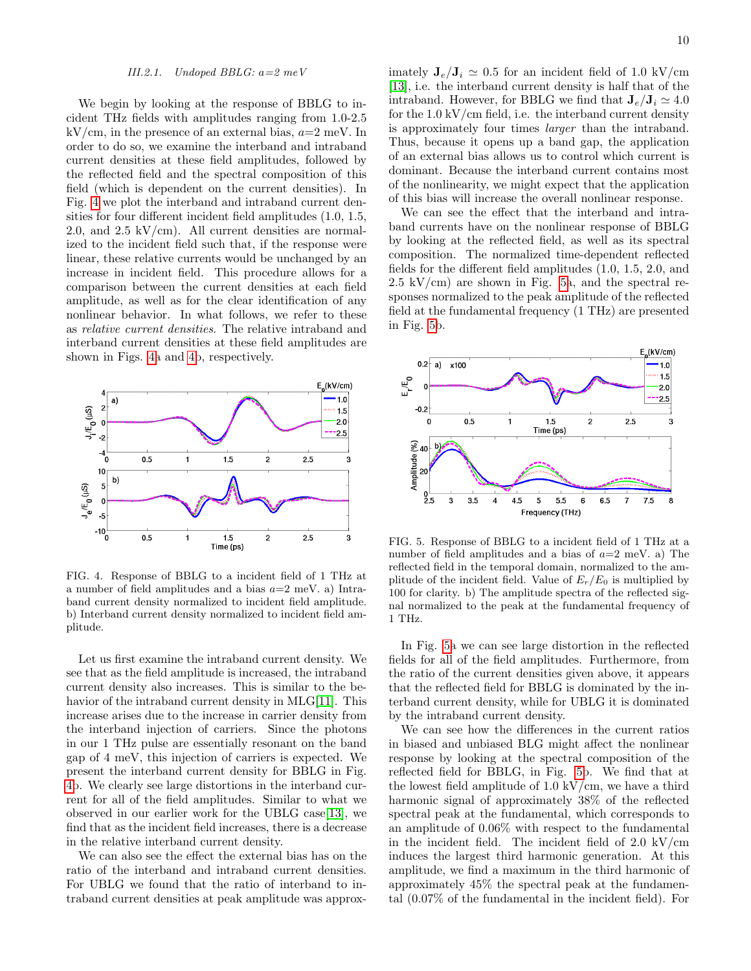#### III.2.1. Undoped BBLG:  $a=2$  meV

We begin by looking at the response of BBLG to incident THz fields with amplitudes ranging from 1.0-2.5  $kV/cm$ , in the presence of an external bias,  $a=2$  meV. In order to do so, we examine the interband and intraband current densities at these field amplitudes, followed by the reflected field and the spectral composition of this field (which is dependent on the current densities). In Fig. [4](#page-9-0) we plot the interband and intraband current densities for four different incident field amplitudes (1.0, 1.5, 2.0, and  $2.5 \text{ kV/cm}$ . All current densities are normalized to the incident field such that, if the response were linear, these relative currents would be unchanged by an increase in incident field. This procedure allows for a comparison between the current densities at each field amplitude, as well as for the clear identification of any nonlinear behavior. In what follows, we refer to these as relative current densities. The relative intraband and interband current densities at these field amplitudes are shown in Figs. [4a](#page-9-0) and [4b](#page-9-0), respectively.



<span id="page-9-0"></span>FIG. 4. Response of BBLG to a incident field of 1 THz at a number of field amplitudes and a bias  $a=2$  meV. a) Intraband current density normalized to incident field amplitude. b) Interband current density normalized to incident field amplitude.

Let us first examine the intraband current density. We see that as the field amplitude is increased, the intraband current density also increases. This is similar to the be-havior of the intraband current density in MLG[\[11\]](#page-12-2). This increase arises due to the increase in carrier density from the interband injection of carriers. Since the photons in our 1 THz pulse are essentially resonant on the band gap of 4 meV, this injection of carriers is expected. We present the interband current density for BBLG in Fig. [4b](#page-9-0). We clearly see large distortions in the interband current for all of the field amplitudes. Similar to what we observed in our earlier work for the UBLG case[\[13\]](#page-12-3), we find that as the incident field increases, there is a decrease in the relative interband current density.

We can also see the effect the external bias has on the ratio of the interband and intraband current densities. For UBLG we found that the ratio of interband to intraband current densities at peak amplitude was approximately  $J_e/J_i \simeq 0.5$  for an incident field of 1.0 kV/cm [\[13\]](#page-12-3), i.e. the interband current density is half that of the intraband. However, for BBLG we find that  $J_e/J_i \simeq 4.0$ for the  $1.0 \, \text{kV/cm}$  field, i.e. the interband current density is approximately four times larger than the intraband. Thus, because it opens up a band gap, the application of an external bias allows us to control which current is dominant. Because the interband current contains most of the nonlinearity, we might expect that the application of this bias will increase the overall nonlinear response.

We can see the effect that the interband and intraband currents have on the nonlinear response of BBLG by looking at the reflected field, as well as its spectral composition. The normalized time-dependent reflected fields for the different field amplitudes (1.0, 1.5, 2.0, and  $2.5 \text{ kV/cm}$  are shown in Fig. [5a](#page-9-1), and the spectral responses normalized to the peak amplitude of the reflected field at the fundamental frequency (1 THz) are presented in Fig. [5b](#page-9-1).



<span id="page-9-1"></span>FIG. 5. Response of BBLG to a incident field of 1 THz at a number of field amplitudes and a bias of  $a=2$  meV. a) The reflected field in the temporal domain, normalized to the amplitude of the incident field. Value of  $E_r/E_0$  is multiplied by 100 for clarity. b) The amplitude spectra of the reflected signal normalized to the peak at the fundamental frequency of 1 THz.

In Fig. [5a](#page-9-1) we can see large distortion in the reflected fields for all of the field amplitudes. Furthermore, from the ratio of the current densities given above, it appears that the reflected field for BBLG is dominated by the interband current density, while for UBLG it is dominated by the intraband current density.

We can see how the differences in the current ratios in biased and unbiased BLG might affect the nonlinear response by looking at the spectral composition of the reflected field for BBLG, in Fig. [5b](#page-9-1). We find that at the lowest field amplitude of 1.0 kV/cm, we have a third harmonic signal of approximately 38% of the reflected spectral peak at the fundamental, which corresponds to an amplitude of 0.06% with respect to the fundamental in the incident field. The incident field of 2.0 kV/cm induces the largest third harmonic generation. At this amplitude, we find a maximum in the third harmonic of approximately 45% the spectral peak at the fundamental (0.07% of the fundamental in the incident field). For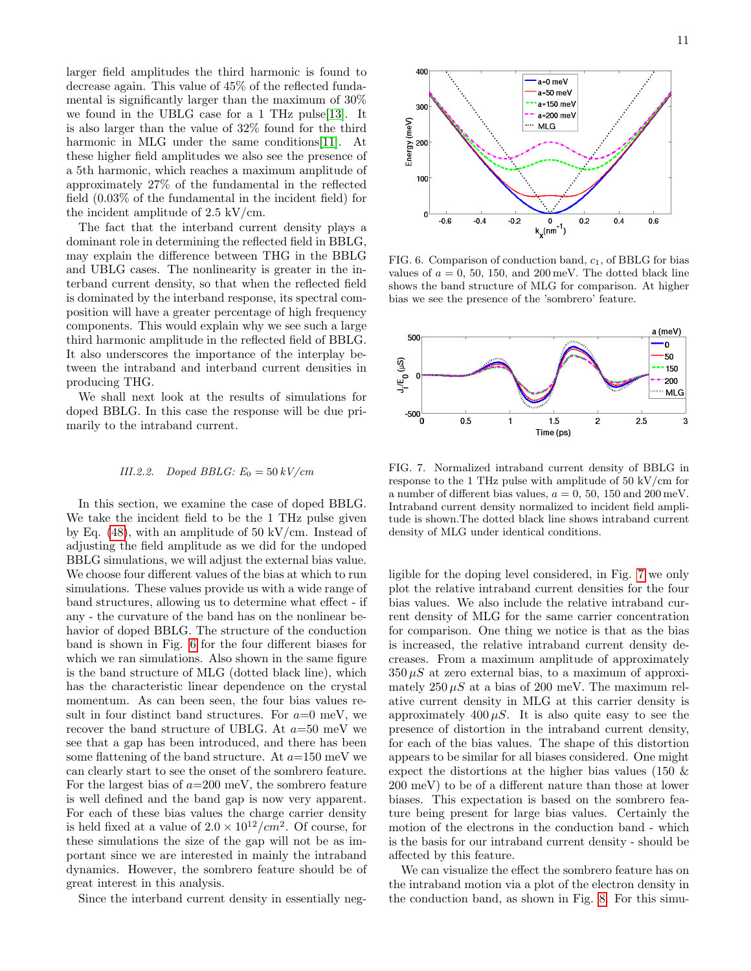larger field amplitudes the third harmonic is found to decrease again. This value of 45% of the reflected fundamental is significantly larger than the maximum of 30% we found in the UBLG case for a 1 THz pulse[\[13\]](#page-12-3). It is also larger than the value of 32% found for the third harmonic in MLG under the same conditions [\[11\]](#page-12-2). At these higher field amplitudes we also see the presence of a 5th harmonic, which reaches a maximum amplitude of approximately 27% of the fundamental in the reflected field (0.03% of the fundamental in the incident field) for the incident amplitude of 2.5 kV/cm.

The fact that the interband current density plays a dominant role in determining the reflected field in BBLG, may explain the difference between THG in the BBLG and UBLG cases. The nonlinearity is greater in the interband current density, so that when the reflected field is dominated by the interband response, its spectral composition will have a greater percentage of high frequency components. This would explain why we see such a large third harmonic amplitude in the reflected field of BBLG. It also underscores the importance of the interplay between the intraband and interband current densities in producing THG.

We shall next look at the results of simulations for doped BBLG. In this case the response will be due primarily to the intraband current.

### III.2.2. Doped BBLG:  $E_0 = 50 \frac{kV}{cm}$

In this section, we examine the case of doped BBLG. We take the incident field to be the 1 THz pulse given by Eq.  $(48)$ , with an amplitude of 50 kV/cm. Instead of adjusting the field amplitude as we did for the undoped BBLG simulations, we will adjust the external bias value. We choose four different values of the bias at which to run simulations. These values provide us with a wide range of band structures, allowing us to determine what effect - if any - the curvature of the band has on the nonlinear behavior of doped BBLG. The structure of the conduction band is shown in Fig. [6](#page-10-0) for the four different biases for which we ran simulations. Also shown in the same figure is the band structure of MLG (dotted black line), which has the characteristic linear dependence on the crystal momentum. As can been seen, the four bias values result in four distinct band structures. For  $a=0$  meV, we recover the band structure of UBLG. At  $a=50$  meV we see that a gap has been introduced, and there has been some flattening of the band structure. At  $a=150$  meV we can clearly start to see the onset of the sombrero feature. For the largest bias of  $a=200$  meV, the sombrero feature is well defined and the band gap is now very apparent. For each of these bias values the charge carrier density is held fixed at a value of  $2.0 \times 10^{12}/cm^2$ . Of course, for these simulations the size of the gap will not be as important since we are interested in mainly the intraband dynamics. However, the sombrero feature should be of great interest in this analysis.

Since the interband current density in essentially neg-



<span id="page-10-0"></span>FIG. 6. Comparison of conduction band,  $c_1$ , of BBLG for bias values of  $a = 0, 50, 150, \text{ and } 200 \,\text{meV}$ . The dotted black line shows the band structure of MLG for comparison. At higher bias we see the presence of the 'sombrero' feature.



<span id="page-10-1"></span>FIG. 7. Normalized intraband current density of BBLG in response to the 1 THz pulse with amplitude of 50 kV/cm for a number of different bias values,  $a = 0$ , 50, 150 and 200 meV. Intraband current density normalized to incident field amplitude is shown.The dotted black line shows intraband current density of MLG under identical conditions.

ligible for the doping level considered, in Fig. [7](#page-10-1) we only plot the relative intraband current densities for the four bias values. We also include the relative intraband current density of MLG for the same carrier concentration for comparison. One thing we notice is that as the bias is increased, the relative intraband current density decreases. From a maximum amplitude of approximately  $350 \mu S$  at zero external bias, to a maximum of approximately  $250 \mu S$  at a bias of 200 meV. The maximum relative current density in MLG at this carrier density is approximately 400  $\mu$ S. It is also quite easy to see the presence of distortion in the intraband current density, for each of the bias values. The shape of this distortion appears to be similar for all biases considered. One might expect the distortions at the higher bias values (150 & 200 meV) to be of a different nature than those at lower biases. This expectation is based on the sombrero feature being present for large bias values. Certainly the motion of the electrons in the conduction band - which is the basis for our intraband current density - should be affected by this feature.

We can visualize the effect the sombrero feature has on the intraband motion via a plot of the electron density in the conduction band, as shown in Fig. [8.](#page-11-0) For this simu-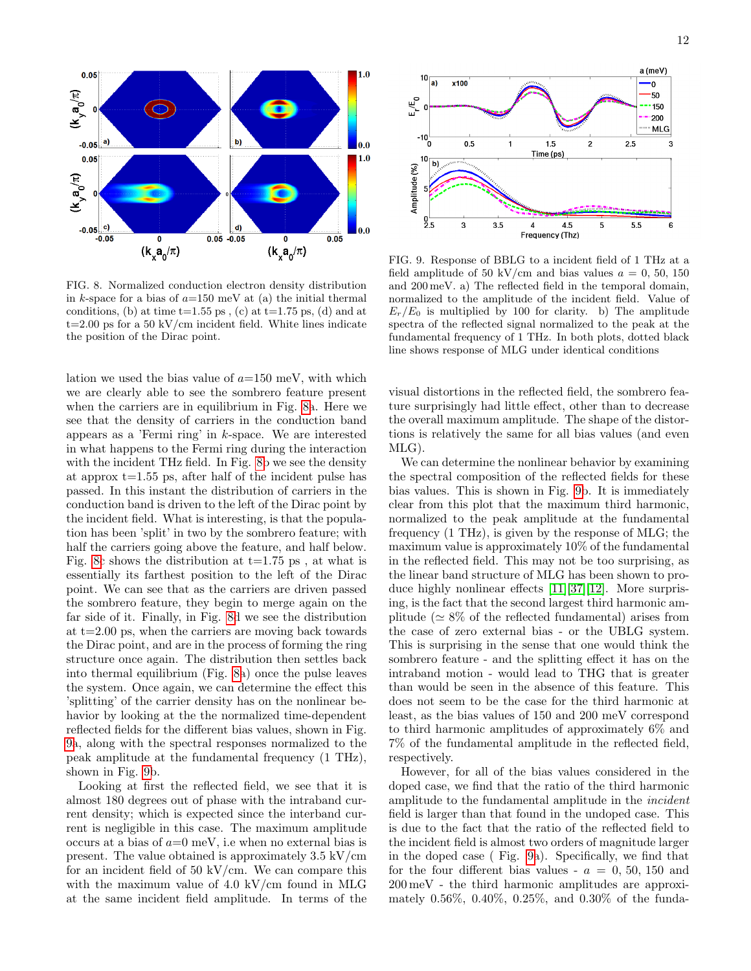

<span id="page-11-0"></span>FIG. 8. Normalized conduction electron density distribution in k-space for a bias of  $a=150$  meV at (a) the initial thermal conditions, (b) at time  $t=1.55$  ps, (c) at  $t=1.75$  ps, (d) and at  $t=2.00$  ps for a 50 kV/cm incident field. White lines indicate the position of the Dirac point.

lation we used the bias value of  $a=150$  meV, with which we are clearly able to see the sombrero feature present when the carriers are in equilibrium in Fig. [8a](#page-11-0). Here we see that the density of carriers in the conduction band appears as a 'Fermi ring' in k-space. We are interested in what happens to the Fermi ring during the interaction with the incident THz field. In Fig. [8b](#page-11-0) we see the density at approx t=1.55 ps, after half of the incident pulse has passed. In this instant the distribution of carriers in the conduction band is driven to the left of the Dirac point by the incident field. What is interesting, is that the population has been 'split' in two by the sombrero feature; with half the carriers going above the feature, and half below. Fig. [8c](#page-11-0) shows the distribution at  $t=1.75$  ps, at what is essentially its farthest position to the left of the Dirac point. We can see that as the carriers are driven passed the sombrero feature, they begin to merge again on the far side of it. Finally, in Fig. [8d](#page-11-0) we see the distribution at  $t=2.00$  ps, when the carriers are moving back towards the Dirac point, and are in the process of forming the ring structure once again. The distribution then settles back into thermal equilibrium (Fig. [8a](#page-11-0)) once the pulse leaves the system. Once again, we can determine the effect this 'splitting' of the carrier density has on the nonlinear behavior by looking at the the normalized time-dependent reflected fields for the different bias values, shown in Fig. [9a](#page-11-1), along with the spectral responses normalized to the peak amplitude at the fundamental frequency (1 THz), shown in Fig. [9b](#page-11-1).

Looking at first the reflected field, we see that it is almost 180 degrees out of phase with the intraband current density; which is expected since the interband current is negligible in this case. The maximum amplitude occurs at a bias of  $a=0$  meV, i.e when no external bias is present. The value obtained is approximately 3.5 kV/cm for an incident field of  $50 \text{ kV/cm}$ . We can compare this with the maximum value of 4.0 kV/cm found in MLG at the same incident field amplitude. In terms of the



<span id="page-11-1"></span>FIG. 9. Response of BBLG to a incident field of 1 THz at a field amplitude of 50 kV/cm and bias values  $a = 0, 50, 150$ and 200 meV. a) The reflected field in the temporal domain, normalized to the amplitude of the incident field. Value of  $E_r/E_0$  is multiplied by 100 for clarity. b) The amplitude spectra of the reflected signal normalized to the peak at the fundamental frequency of 1 THz. In both plots, dotted black line shows response of MLG under identical conditions

visual distortions in the reflected field, the sombrero feature surprisingly had little effect, other than to decrease the overall maximum amplitude. The shape of the distortions is relatively the same for all bias values (and even MLG).

We can determine the nonlinear behavior by examining the spectral composition of the reflected fields for these bias values. This is shown in Fig. [9b](#page-11-1). It is immediately clear from this plot that the maximum third harmonic, normalized to the peak amplitude at the fundamental frequency (1 THz), is given by the response of MLG; the maximum value is approximately 10% of the fundamental in the reflected field. This may not be too surprising, as the linear band structure of MLG has been shown to produce highly nonlinear effects [\[11\]](#page-12-2)[\[37\]](#page-13-8)[\[12\]](#page-12-16). More surprising, is the fact that the second largest third harmonic amplitude ( $\simeq 8\%$  of the reflected fundamental) arises from the case of zero external bias - or the UBLG system. This is surprising in the sense that one would think the sombrero feature - and the splitting effect it has on the intraband motion - would lead to THG that is greater than would be seen in the absence of this feature. This does not seem to be the case for the third harmonic at least, as the bias values of 150 and 200 meV correspond to third harmonic amplitudes of approximately 6% and 7% of the fundamental amplitude in the reflected field, respectively.

However, for all of the bias values considered in the doped case, we find that the ratio of the third harmonic amplitude to the fundamental amplitude in the incident field is larger than that found in the undoped case. This is due to the fact that the ratio of the reflected field to the incident field is almost two orders of magnitude larger in the doped case ( Fig. [9a](#page-11-1)). Specifically, we find that for the four different bias values -  $a = 0, 50, 150,$  and 200 meV - the third harmonic amplitudes are approximately 0.56%, 0.40%, 0.25%, and 0.30% of the funda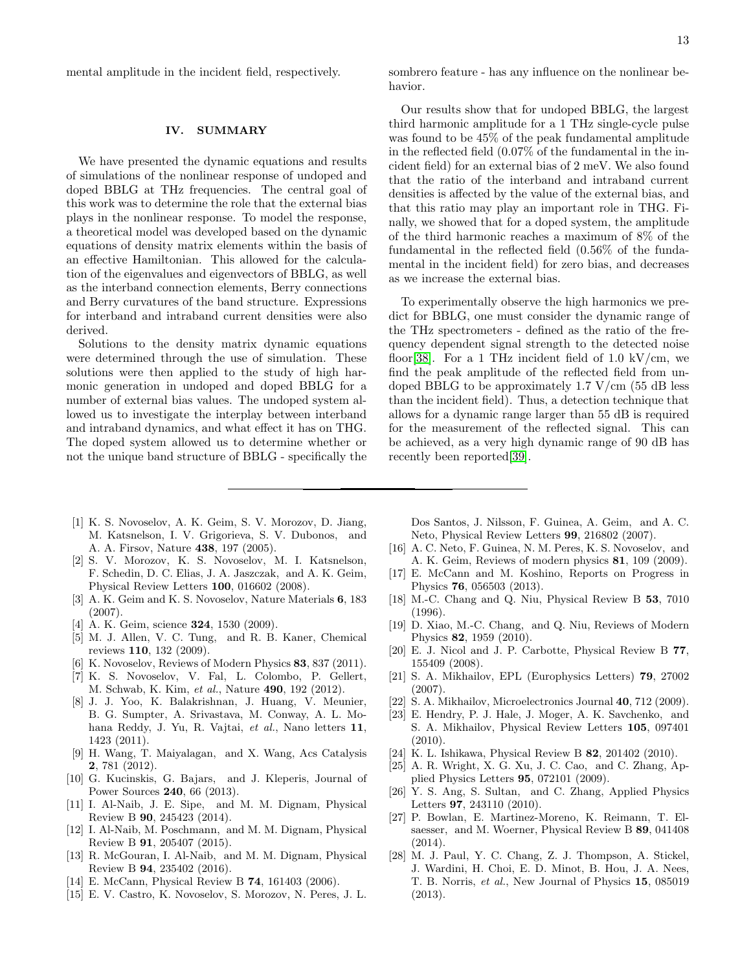mental amplitude in the incident field, respectively.

### <span id="page-12-14"></span>IV. SUMMARY

We have presented the dynamic equations and results of simulations of the nonlinear response of undoped and doped BBLG at THz frequencies. The central goal of this work was to determine the role that the external bias plays in the nonlinear response. To model the response, a theoretical model was developed based on the dynamic equations of density matrix elements within the basis of an effective Hamiltonian. This allowed for the calculation of the eigenvalues and eigenvectors of BBLG, as well as the interband connection elements, Berry connections and Berry curvatures of the band structure. Expressions for interband and intraband current densities were also derived.

Solutions to the density matrix dynamic equations were determined through the use of simulation. These solutions were then applied to the study of high harmonic generation in undoped and doped BBLG for a number of external bias values. The undoped system allowed us to investigate the interplay between interband and intraband dynamics, and what effect it has on THG. The doped system allowed us to determine whether or not the unique band structure of BBLG - specifically the sombrero feature - has any influence on the nonlinear behavior.

Our results show that for undoped BBLG, the largest third harmonic amplitude for a 1 THz single-cycle pulse was found to be 45% of the peak fundamental amplitude in the reflected field (0.07% of the fundamental in the incident field) for an external bias of 2 meV. We also found that the ratio of the interband and intraband current densities is affected by the value of the external bias, and that this ratio may play an important role in THG. Finally, we showed that for a doped system, the amplitude of the third harmonic reaches a maximum of 8% of the fundamental in the reflected field (0.56% of the fundamental in the incident field) for zero bias, and decreases as we increase the external bias.

To experimentally observe the high harmonics we predict for BBLG, one must consider the dynamic range of the THz spectrometers - defined as the ratio of the frequency dependent signal strength to the detected noise floor[\[38\]](#page-13-9). For a 1 THz incident field of 1.0 kV/cm, we find the peak amplitude of the reflected field from undoped BBLG to be approximately 1.7  $V/cm$  (55 dB less) than the incident field). Thus, a detection technique that allows for a dynamic range larger than 55 dB is required for the measurement of the reflected signal. This can be achieved, as a very high dynamic range of 90 dB has recently been reported[\[39\]](#page-13-10).

- <span id="page-12-0"></span>[1] K. S. Novoselov, A. K. Geim, S. V. Morozov, D. Jiang, M. Katsnelson, I. V. Grigorieva, S. V. Dubonos, and A. A. Firsov, Nature 438, 197 (2005).
- [2] S. V. Morozov, K. S. Novoselov, M. I. Katsnelson, F. Schedin, D. C. Elias, J. A. Jaszczak, and A. K. Geim, Physical Review Letters 100, 016602 (2008).
- [3] A. K. Geim and K. S. Novoselov, Nature Materials 6, 183 (2007).
- [4] A. K. Geim, science **324**, 1530 (2009).
- [5] M. J. Allen, V. C. Tung, and R. B. Kaner, Chemical reviews 110, 132 (2009).
- [6] K. Novoselov, Reviews of Modern Physics **83**, 837 (2011).
- [7] K. S. Novoselov, V. Fal, L. Colombo, P. Gellert, M. Schwab, K. Kim, et al., Nature 490, 192 (2012).
- [8] J. J. Yoo, K. Balakrishnan, J. Huang, V. Meunier, B. G. Sumpter, A. Srivastava, M. Conway, A. L. Mohana Reddy, J. Yu, R. Vajtai, et al., Nano letters 11, 1423 (2011).
- [9] H. Wang, T. Maiyalagan, and X. Wang, Acs Catalysis 2, 781 (2012).
- <span id="page-12-1"></span>[10] G. Kucinskis, G. Bajars, and J. Kleperis, Journal of Power Sources 240, 66 (2013).
- <span id="page-12-2"></span>[11] I. Al-Naib, J. E. Sipe, and M. M. Dignam, Physical Review B 90, 245423 (2014).
- <span id="page-12-16"></span>[12] I. Al-Naib, M. Poschmann, and M. M. Dignam, Physical Review B 91, 205407 (2015).
- <span id="page-12-3"></span>[13] R. McGouran, I. Al-Naib, and M. M. Dignam, Physical Review B 94, 235402 (2016).
- <span id="page-12-4"></span>[14] E. McCann, Physical Review B 74, 161403 (2006).
- <span id="page-12-8"></span>[15] E. V. Castro, K. Novoselov, S. Morozov, N. Peres, J. L.

Dos Santos, J. Nilsson, F. Guinea, A. Geim, and A. C. Neto, Physical Review Letters 99, 216802 (2007).

- <span id="page-12-15"></span>[16] A. C. Neto, F. Guinea, N. M. Peres, K. S. Novoselov, and A. K. Geim, Reviews of modern physics 81, 109 (2009).
- <span id="page-12-5"></span>[17] E. McCann and M. Koshino, Reports on Progress in Physics 76, 056503 (2013).
- <span id="page-12-6"></span>[18] M.-C. Chang and Q. Niu, Physical Review B 53, 7010 (1996).
- <span id="page-12-7"></span>[19] D. Xiao, M.-C. Chang, and Q. Niu, Reviews of Modern Physics 82, 1959 (2010).
- <span id="page-12-9"></span>[20] E. J. Nicol and J. P. Carbotte, Physical Review B 77, 155409 (2008).
- <span id="page-12-10"></span>[21] S. A. Mikhailov, EPL (Europhysics Letters) 79, 27002 (2007).
- [22] S. A. Mikhailov, Microelectronics Journal 40, 712 (2009).
- [23] E. Hendry, P. J. Hale, J. Moger, A. K. Savchenko, and S. A. Mikhailov, Physical Review Letters 105, 097401 (2010).
- [24] K. L. Ishikawa, Physical Review B 82, 201402 (2010).
- [25] A. R. Wright, X. G. Xu, J. C. Cao, and C. Zhang, Applied Physics Letters 95, 072101 (2009).
- <span id="page-12-11"></span>[26] Y. S. Ang, S. Sultan, and C. Zhang, Applied Physics Letters 97, 243110 (2010).
- <span id="page-12-12"></span>[27] P. Bowlan, E. Martinez-Moreno, K. Reimann, T. Elsaesser, and M. Woerner, Physical Review B 89, 041408 (2014).
- <span id="page-12-13"></span>[28] M. J. Paul, Y. C. Chang, Z. J. Thompson, A. Stickel, J. Wardini, H. Choi, E. D. Minot, B. Hou, J. A. Nees, T. B. Norris, et al., New Journal of Physics 15, 085019 (2013).